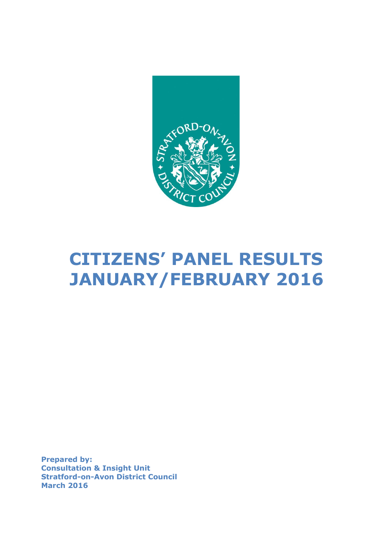

# **CITIZENS' PANEL RESULTS JANUARY/FEBRUARY 2016**

**Prepared by: Consultation & Insight Unit Stratford-on-Avon District Council March 2016**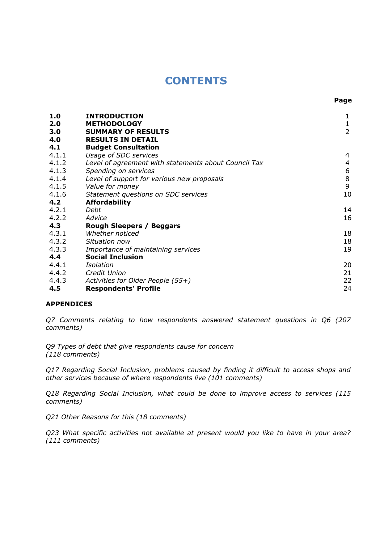## **CONTENTS**

| 1.0<br>2.0<br>3.0<br>4.0<br>4.1 | <b>INTRODUCTION</b><br><b>METHODOLOGY</b><br><b>SUMMARY OF RESULTS</b><br><b>RESULTS IN DETAIL</b><br><b>Budget Consultation</b> | $\mathbf{1}$<br>$\overline{2}$ |
|---------------------------------|----------------------------------------------------------------------------------------------------------------------------------|--------------------------------|
| 4.1.1                           | Usage of SDC services                                                                                                            | 4                              |
| 4.1.2                           | Level of agreement with statements about Council Tax                                                                             | $\overline{4}$                 |
| 4.1.3                           | Spending on services                                                                                                             | 6                              |
| 4.1.4                           | Level of support for various new proposals                                                                                       | $\,8\,$                        |
| 4.1.5                           | Value for money                                                                                                                  | 9                              |
| 4.1.6                           | Statement questions on SDC services                                                                                              | 10                             |
| 4.2                             | <b>Affordability</b>                                                                                                             |                                |
| 4.2.1                           | Debt                                                                                                                             | 14                             |
| 4.2.2                           | Advice                                                                                                                           | 16                             |
| 4.3                             | <b>Rough Sleepers / Beggars</b>                                                                                                  |                                |
| 4.3.1                           | Whether noticed                                                                                                                  | 18                             |
| 4.3.2                           | Situation now                                                                                                                    | 18                             |
| 4.3.3                           | Importance of maintaining services                                                                                               | 19                             |
| 4.4                             | <b>Social Inclusion</b>                                                                                                          |                                |
| 4.4.1                           | Isolation                                                                                                                        | 20                             |
| 4.4.2                           | Credit Union                                                                                                                     | 21                             |
| 4.4.3                           | Activities for Older People (55+)                                                                                                | 22                             |
| 4.5                             | <b>Respondents' Profile</b>                                                                                                      | 24                             |

#### **APPENDICES**

*Q7 Comments relating to how respondents answered statement questions in Q6 (207 comments)*

*Q9 Types of debt that give respondents cause for concern (118 comments)*

*Q17 Regarding Social Inclusion, problems caused by finding it difficult to access shops and other services because of where respondents live (101 comments)*

*Q18 Regarding Social Inclusion, what could be done to improve access to services (115 comments)*

*Q21 Other Reasons for this (18 comments)*

*Q23 What specific activities not available at present would you like to have in your area? (111 comments)*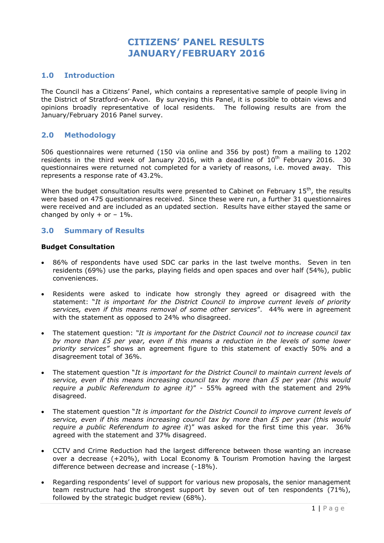## **CITIZENS' PANEL RESULTS JANUARY/FEBRUARY 2016**

#### **1.0 Introduction**

The Council has a Citizens' Panel, which contains a representative sample of people living in the District of Stratford-on-Avon. By surveying this Panel, it is possible to obtain views and opinions broadly representative of local residents. The following results are from the January/February 2016 Panel survey.

#### **2.0 Methodology**

506 questionnaires were returned (150 via online and 356 by post) from a mailing to 1202 residents in the third week of January 2016, with a deadline of  $10<sup>th</sup>$  February 2016. 30 questionnaires were returned not completed for a variety of reasons, i.e. moved away. This represents a response rate of 43.2%.

When the budget consultation results were presented to Cabinet on February  $15^{th}$ , the results were based on 475 questionnaires received. Since these were run, a further 31 questionnaires were received and are included as an updated section. Results have either stayed the same or changed by only  $+$  or  $-1\%$ .

#### **3.0 Summary of Results**

#### **Budget Consultation**

- 86% of respondents have used SDC car parks in the last twelve months. Seven in ten residents (69%) use the parks, playing fields and open spaces and over half (54%), public conveniences.
- Residents were asked to indicate how strongly they agreed or disagreed with the statement: "*It is important for the District Council to improve current levels of priority services, even if this means removal of some other services*". 44% were in agreement with the statement as opposed to 24% who disagreed.
- The statement question: *"It is important for the District Council not to increase council tax by more than £5 per year, even if this means a reduction in the levels of some lower priority services"* shows an agreement figure to this statement of exactly 50% and a disagreement total of 36%.
- The statement question "*It is important for the District Council to maintain current levels of service, even if this means increasing council tax by more than £5 per year (this would require a public Referendum to agree it)*" - 55% agreed with the statement and 29% disagreed.
- The statement question "*It is important for the District Council to improve current levels of service, even if this means increasing council tax by more than £5 per year (this would require a public Referendum to agree it*)" was asked for the first time this year. 36% agreed with the statement and 37% disagreed.
- CCTV and Crime Reduction had the largest difference between those wanting an increase over a decrease (+20%), with Local Economy & Tourism Promotion having the largest difference between decrease and increase (-18%).
- Regarding respondents' level of support for various new proposals, the senior management team restructure had the strongest support by seven out of ten respondents (71%), followed by the strategic budget review (68%).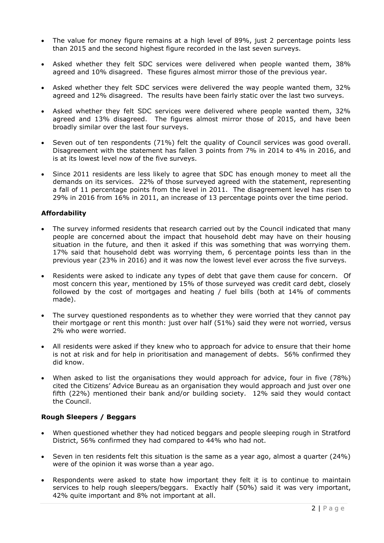- The value for money figure remains at a high level of 89%, just 2 percentage points less than 2015 and the second highest figure recorded in the last seven surveys.
- Asked whether they felt SDC services were delivered when people wanted them, 38% agreed and 10% disagreed. These figures almost mirror those of the previous year.
- Asked whether they felt SDC services were delivered the way people wanted them, 32% agreed and 12% disagreed. The results have been fairly static over the last two surveys.
- Asked whether they felt SDC services were delivered where people wanted them, 32% agreed and 13% disagreed. The figures almost mirror those of 2015, and have been broadly similar over the last four surveys.
- Seven out of ten respondents (71%) felt the quality of Council services was good overall. Disagreement with the statement has fallen 3 points from 7% in 2014 to 4% in 2016, and is at its lowest level now of the five surveys.
- Since 2011 residents are less likely to agree that SDC has enough money to meet all the demands on its services. 22% of those surveyed agreed with the statement, representing a fall of 11 percentage points from the level in 2011. The disagreement level has risen to 29% in 2016 from 16% in 2011, an increase of 13 percentage points over the time period.

#### **Affordability**

- The survey informed residents that research carried out by the Council indicated that many people are concerned about the impact that household debt may have on their housing situation in the future, and then it asked if this was something that was worrying them. 17% said that household debt was worrying them, 6 percentage points less than in the previous year (23% in 2016) and it was now the lowest level ever across the five surveys.
- Residents were asked to indicate any types of debt that gave them cause for concern. Of most concern this year, mentioned by 15% of those surveyed was credit card debt, closely followed by the cost of mortgages and heating / fuel bills (both at 14% of comments made).
- The survey questioned respondents as to whether they were worried that they cannot pay their mortgage or rent this month: just over half (51%) said they were not worried, versus 2% who were worried.
- All residents were asked if they knew who to approach for advice to ensure that their home is not at risk and for help in prioritisation and management of debts. 56% confirmed they did know.
- When asked to list the organisations they would approach for advice, four in five (78%) cited the Citizens' Advice Bureau as an organisation they would approach and just over one fifth (22%) mentioned their bank and/or building society. 12% said they would contact the Council.

#### **Rough Sleepers / Beggars**

- When questioned whether they had noticed beggars and people sleeping rough in Stratford District, 56% confirmed they had compared to 44% who had not.
- Seven in ten residents felt this situation is the same as a year ago, almost a quarter (24%) were of the opinion it was worse than a year ago.
- Respondents were asked to state how important they felt it is to continue to maintain services to help rough sleepers/beggars. Exactly half (50%) said it was very important, 42% quite important and 8% not important at all.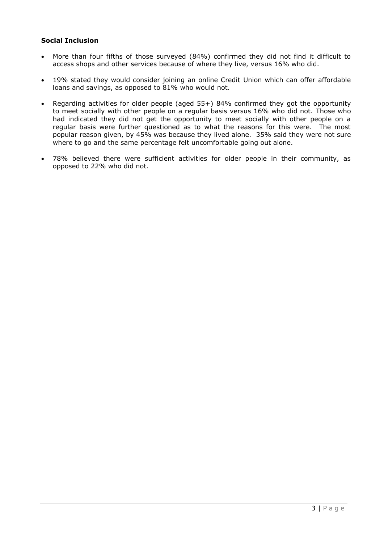#### **Social Inclusion**

- More than four fifths of those surveyed (84%) confirmed they did not find it difficult to access shops and other services because of where they live, versus 16% who did.
- 19% stated they would consider joining an online Credit Union which can offer affordable loans and savings, as opposed to 81% who would not.
- Regarding activities for older people (aged 55+) 84% confirmed they got the opportunity to meet socially with other people on a regular basis versus 16% who did not. Those who had indicated they did not get the opportunity to meet socially with other people on a regular basis were further questioned as to what the reasons for this were. The most popular reason given, by 45% was because they lived alone. 35% said they were not sure where to go and the same percentage felt uncomfortable going out alone.
- 78% believed there were sufficient activities for older people in their community, as opposed to 22% who did not.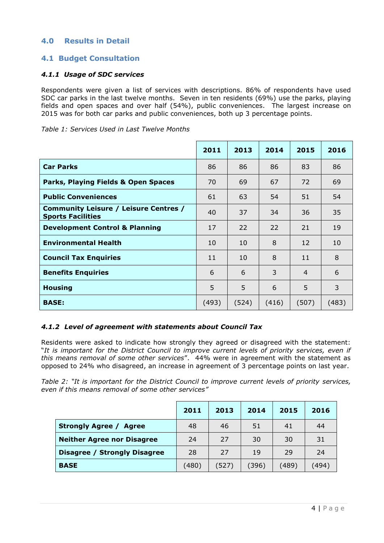#### **4.0 Results in Detail**

#### **4.1 Budget Consultation**

#### *4.1.1 Usage of SDC services*

Respondents were given a list of services with descriptions. 86% of respondents have used SDC car parks in the last twelve months. Seven in ten residents (69%) use the parks, playing fields and open spaces and over half (54%), public conveniences. The largest increase on 2015 was for both car parks and public conveniences, both up 3 percentage points.

| Table 1: Services Used in Last Twelve Months |  |  |  |  |  |
|----------------------------------------------|--|--|--|--|--|
|----------------------------------------------|--|--|--|--|--|

|                                                                          | 2011  | 2013  | 2014  | 2015           | 2016  |
|--------------------------------------------------------------------------|-------|-------|-------|----------------|-------|
| <b>Car Parks</b>                                                         | 86    | 86    | 86    | 83             | 86    |
| Parks, Playing Fields & Open Spaces                                      | 70    | 69    | 67    | 72             | 69    |
| <b>Public Conveniences</b>                                               | 61    | 63    | 54    | 51             | 54    |
| <b>Community Leisure / Leisure Centres /</b><br><b>Sports Facilities</b> | 40    | 37    | 34    | 36             | 35    |
| <b>Development Control &amp; Planning</b>                                | 17    | 22    | 22    | 21             | 19    |
| <b>Environmental Health</b>                                              | 10    | 10    | 8     | 12             | 10    |
| <b>Council Tax Enquiries</b>                                             | 11    | 10    | 8     | 11             | 8     |
| <b>Benefits Enquiries</b>                                                | 6     | 6     | 3     | $\overline{4}$ | 6     |
| <b>Housing</b>                                                           | 5     | 5     | 6     | 5              | 3     |
| <b>BASE:</b>                                                             | (493) | (524) | (416) | (507)          | (483) |

#### *4.1.2 Level of agreement with statements about Council Tax*

Residents were asked to indicate how strongly they agreed or disagreed with the statement: "*It is important for the District Council to improve current levels of priority services, even if this means removal of some other services*". 44% were in agreement with the statement as opposed to 24% who disagreed, an increase in agreement of 3 percentage points on last year.

*Table 2: "It is important for the District Council to improve current levels of priority services, even if this means removal of some other services"*

|                                         | 2011  | 2013  | 2014  | 2015  | 2016  |
|-----------------------------------------|-------|-------|-------|-------|-------|
| <b>Strongly Agree /</b><br><b>Agree</b> | 48    | 46    | 51    | 41    | 44    |
| <b>Neither Agree nor Disagree</b>       | 24    | 27    | 30    | 30    | 31    |
| Disagree / Strongly Disagree            | 28    | 27    | 19    | 29    | 24    |
| <b>BASE</b>                             | (480) | (527) | (396) | (489) | (494) |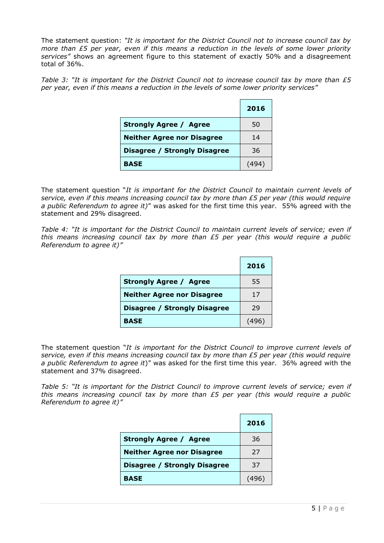The statement question: *"It is important for the District Council not to increase council tax by more than £5 per year, even if this means a reduction in the levels of some lower priority services"* shows an agreement figure to this statement of exactly 50% and a disagreement total of 36%.

*Table 3: "It is important for the District Council not to increase council tax by more than £5 per year, even if this means a reduction in the levels of some lower priority services"*

|                                   | 2016 |
|-----------------------------------|------|
| <b>Strongly Agree / Agree</b>     | 50   |
| <b>Neither Agree nor Disagree</b> | 14   |
| Disagree / Strongly Disagree      | 36   |
| <b>BASE</b>                       |      |

The statement question "*It is important for the District Council to maintain current levels of service, even if this means increasing council tax by more than £5 per year (this would require a public Referendum to agree it)*" was asked for the first time this year. 55% agreed with the statement and 29% disagreed.

*Table 4: "It is important for the District Council to maintain current levels of service; even if this means increasing council tax by more than £5 per year (this would require a public Referendum to agree it)"*

|                                     | 2016  |
|-------------------------------------|-------|
| <b>Strongly Agree / Agree</b>       | 55    |
| <b>Neither Agree nor Disagree</b>   | 17    |
| <b>Disagree / Strongly Disagree</b> | 29    |
| <b>BASE</b>                         | (496) |

The statement question "*It is important for the District Council to improve current levels of service, even if this means increasing council tax by more than £5 per year (this would require a public Referendum to agree it*)" was asked for the first time this year. 36% agreed with the statement and 37% disagreed.

*Table 5: "It is important for the District Council to improve current levels of service; even if this means increasing council tax by more than £5 per year (this would require a public Referendum to agree it)"*

|                                     | 2016 |
|-------------------------------------|------|
| <b>Strongly Agree / Agree</b>       | 36   |
| <b>Neither Agree nor Disagree</b>   | 27   |
| <b>Disagree / Strongly Disagree</b> | 37   |
| <b>BASE</b>                         |      |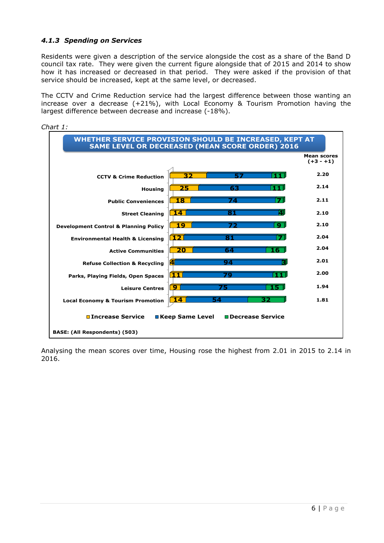#### *4.1.3 Spending on Services*

Residents were given a description of the service alongside the cost as a share of the Band D council tax rate. They were given the current figure alongside that of 2015 and 2014 to show how it has increased or decreased in that period. They were asked if the provision of that service should be increased, kept at the same level, or decreased.

The CCTV and Crime Reduction service had the largest difference between those wanting an increase over a decrease (+21%), with Local Economy & Tourism Promotion having the largest difference between decrease and increase (-18%).



Analysing the mean scores over time, Housing rose the highest from 2.01 in 2015 to 2.14 in 2016.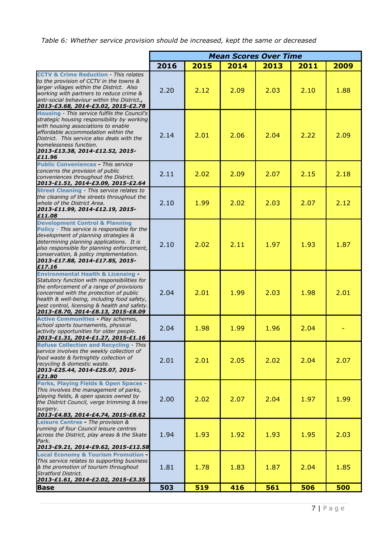### *Table 6: Whether service provision should be increased, kept the same or decreased*

|                                                                                                                                                                                                                                                                                                                           | <b>Mean Scores Over Time</b> |      |      |      |      |      |
|---------------------------------------------------------------------------------------------------------------------------------------------------------------------------------------------------------------------------------------------------------------------------------------------------------------------------|------------------------------|------|------|------|------|------|
|                                                                                                                                                                                                                                                                                                                           | 2016                         | 2015 | 2014 | 2013 | 2011 | 2009 |
| <b>CCTV &amp; Crime Reduction - This relates</b><br>to the provision of CCTV in the towns &<br>larger villages within the District. Also<br>working with partners to reduce crime &<br>anti-social behaviour within the District.,<br>2013-£3.68, 2014-£3.02, 2015-£2.78                                                  | 2.20                         | 2.12 | 2.09 | 2.03 | 2.10 | 1.88 |
| Housing - This service fulfils the Council's<br>strategic housing responsibility by working<br>with housing associations to enable<br>affordable accommodation within the<br>District. This service also deals with the<br>homelessness function.<br>2013-£13.38, 2014-£12.52, 2015-<br>£11.96                            | 2.14                         | 2.01 | 2.06 | 2.04 | 2.22 | 2.09 |
| <b>Public Conveniences - This service</b><br>concerns the provision of public<br>conveniences throughout the District.<br>2013-£1.51, 2014-£3.09, 2015-£2.64                                                                                                                                                              | 2.11                         | 2.02 | 2.09 | 2.07 | 2.15 | 2.18 |
| <b>Street Cleaning - This service relates to</b><br>the cleaning of the streets throughout the<br>whole of the District Area.<br>2013-£11.99, 2014-£12.19, 2015-<br>£11.08                                                                                                                                                | 2.10                         | 1.99 | 2.02 | 2.03 | 2.07 | 2.12 |
| <b>Development Control &amp; Planning</b><br>Policy - This service is responsible for the<br>development of planning strategies &<br>determining planning applications. It is<br>also responsible for planning enforcement,<br>conservation, & policy implementation.<br>2013-£17.88, 2014-£17.85, 2015-<br>£17.16        | 2.10                         | 2.02 | 2.11 | 1.97 | 1.93 | 1.87 |
| <b>Environmental Health &amp; Licensing -</b><br>Statutory function with responsibilities for<br>the enforcement of a range of provisions<br>concerned with the protection of public<br>health & well-being, including food safety,<br>pest control, licensing & health and safety.<br>2013-£8.70, 2014-£8.13, 2015-£8.09 | 2.04                         | 2.01 | 1.99 | 2.03 | 1.98 | 2.01 |
| <b>Active Communities - Play schemes,</b><br>school sports tournaments, physical<br>activity opportunities for older people.<br>2013-£1.31, 2014-£1.27, 2015-£1.16                                                                                                                                                        | 2.04                         | 1.98 | 1.99 | 1.96 | 2.04 |      |
| <b>Refuse Collection and Recycling - This</b><br>service involves the weekly collection of<br>food waste & fortnightly collection of<br>recycling & domestic waste.<br>2013-£25.44, 2014-£25.07, 2015-<br>£21.80                                                                                                          | 2.01                         | 2.01 | 2.05 | 2.02 | 2.04 | 2.07 |
| <b>Parks, Playing Fields &amp; Open Spaces</b><br>This involves the management of parks,<br>playing fields, & open spaces owned by<br>the District Council, verge trimming & tree<br>surgery.<br>2013-£4.83, 2014-£4.74, 2015-£8.62                                                                                       | 2.00                         | 2.02 | 2.07 | 2.04 | 1.97 | 1.99 |
| Leisure Centres - The provision &<br>running of four Council leisure centres<br>across the District, play areas & the Skate<br>Park.<br>2013-£9.21, 2014-£9.62, 2015-£12.58                                                                                                                                               | 1.94                         | 1.93 | 1.92 | 1.93 | 1.95 | 2.03 |
| <b>Local Economy &amp; Tourism Promotion -</b><br>This service relates to supporting business<br>& the promotion of tourism throughout<br><b>Stratford District.</b><br>2013-£1.61, 2014-£2.02, 2015-£3.35                                                                                                                | 1.81                         | 1.78 | 1.83 | 1.87 | 2.04 | 1.85 |
| <b>Base</b>                                                                                                                                                                                                                                                                                                               | 503                          | 519  | 416  | 561  | 506  | 500  |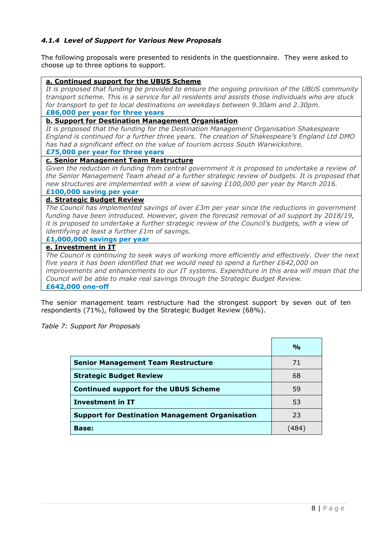#### *4.1.4 Level of Support for Various New Proposals*

The following proposals were presented to residents in the questionnaire. They were asked to choose up to three options to support.

| a. Continued support for the UBUS Scheme                                                          |
|---------------------------------------------------------------------------------------------------|
| It is proposed that funding be provided to ensure the ongoing provision of the UBUS community     |
| transport scheme. This is a service for all residents and assists those individuals who are stuck |
| for transport to get to local destinations on weekdays between 9.30am and 2.30pm.                 |
| £86,000 per year for three years                                                                  |
| <b>b. Support for Destination Management Organisation</b>                                         |
| It is proposed that the funding for the Destination Management Organisation Shakespeare           |
| England is continued for a further three years. The creation of Shakespeare's England Ltd DMO     |
| has had a significant effect on the value of tourism across South Warwickshire.                   |
| £75,000 per year for three years                                                                  |
| c. Senior Management Team Restructure                                                             |
| Given the reduction in funding from central government it is proposed to undertake a review of    |
| the Senior Management Team ahead of a further strategic review of budgets. It is proposed that    |
| new structures are implemented with a view of saving £100,000 per year by March 2016.             |
| £100,000 saving per year                                                                          |
| d. Strategic Budget Review                                                                        |
| The Council has implemented savings of over £3m per year since the reductions in government       |
| funding have been introduced. However, given the forecast removal of all support by 2018/19,      |
| it is proposed to undertake a further strategic review of the Council's budgets, with a view of   |
| identifying at least a further £1m of savings.                                                    |
| £1,000,000 savings per year                                                                       |
| e. Investment in IT                                                                               |
| The Council is continuing to seek ways of working more efficiently and effectively. Over the next |
| five years it has been identified that we would need to spend a further $E642,000$ on             |
| improvements and enhancements to our IT systems. Expenditure in this area will mean that the      |
| Council will be able to make real savings through the Strategic Budget Review.                    |

**£642,000 one-off** 

The senior management team restructure had the strongest support by seven out of ten respondents (71%), followed by the Strategic Budget Review (68%).

*Table 7: Support for Proposals*

|                                                        | $\frac{6}{9}$ |
|--------------------------------------------------------|---------------|
| <b>Senior Management Team Restructure</b>              | 71            |
| <b>Strategic Budget Review</b>                         | 68            |
| <b>Continued support for the UBUS Scheme</b>           | 59            |
| <b>Investment in IT</b>                                | 53            |
| <b>Support for Destination Management Organisation</b> | 23            |
| <b>Base:</b>                                           | (484)         |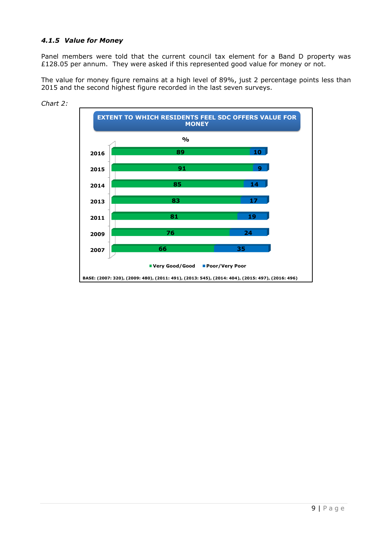#### *4.1.5 Value for Money*

Panel members were told that the current council tax element for a Band D property was £128.05 per annum. They were asked if this represented good value for money or not.

The value for money figure remains at a high level of 89%, just 2 percentage points less than 2015 and the second highest figure recorded in the last seven surveys.



*Chart 2:*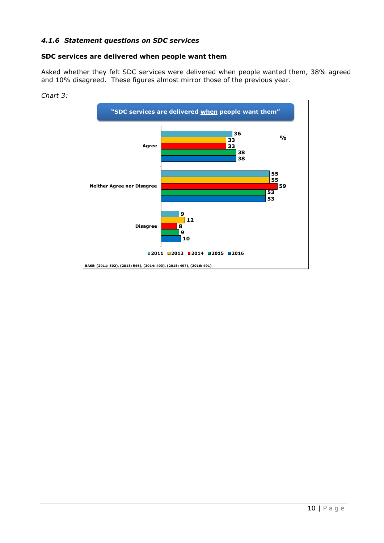#### *4.1.6 Statement questions on SDC services*

#### **SDC services are delivered when people want them**

Asked whether they felt SDC services were delivered when people wanted them, 38% agreed and 10% disagreed. These figures almost mirror those of the previous year.



*Chart 3:*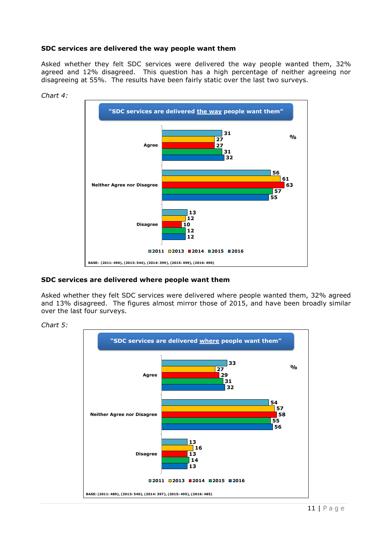#### **SDC services are delivered the way people want them**

Asked whether they felt SDC services were delivered the way people wanted them, 32% agreed and 12% disagreed. This question has a high percentage of neither agreeing nor disagreeing at 55%. The results have been fairly static over the last two surveys.



*Chart 4:* 

#### **SDC services are delivered where people want them**

Asked whether they felt SDC services were delivered where people wanted them, 32% agreed and 13% disagreed. The figures almost mirror those of 2015, and have been broadly similar over the last four surveys.



#### *Chart 5:*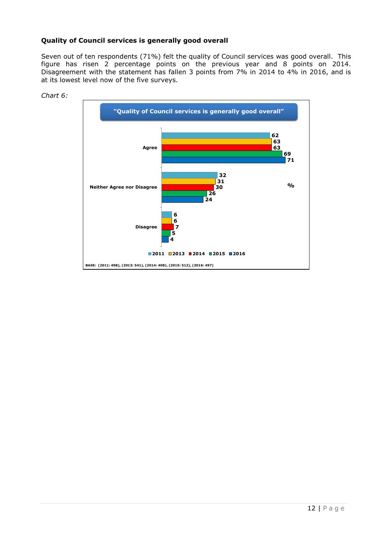#### **Quality of Council services is generally good overall**

Seven out of ten respondents (71%) felt the quality of Council services was good overall. This figure has risen 2 percentage points on the previous year and 8 points on 2014. Disagreement with the statement has fallen 3 points from 7% in 2014 to 4% in 2016, and is at its lowest level now of the five surveys.



*Chart 6:*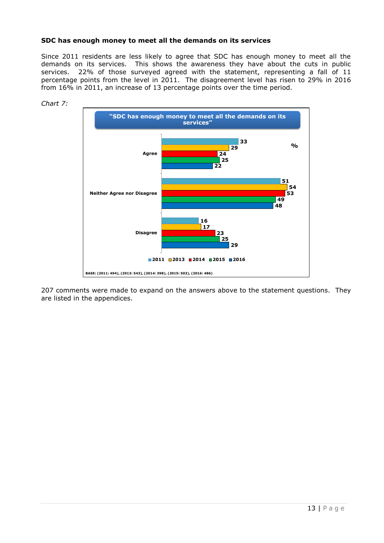#### **SDC has enough money to meet all the demands on its services**

Since 2011 residents are less likely to agree that SDC has enough money to meet all the demands on its services. This shows the awareness they have about the cuts in public services. 22% of those surveyed agreed with the statement, representing a fall of 11 percentage points from the level in 2011. The disagreement level has risen to 29% in 2016 from 16% in 2011, an increase of 13 percentage points over the time period.



*Chart 7:*

207 comments were made to expand on the answers above to the statement questions. They are listed in the appendices.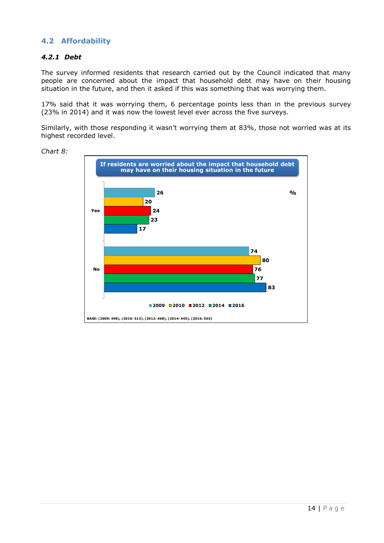#### **4.2 Affordability**

#### *4.2.1 Debt*

The survey informed residents that research carried out by the Council indicated that many people are concerned about the impact that household debt may have on their housing situation in the future, and then it asked if this was something that was worrying them.

17% said that it was worrying them, 6 percentage points less than in the previous survey (23% in 2014) and it was now the lowest level ever across the five surveys.

Similarly, with those responding it wasn't worrying them at 83%, those not worried was at its highest recorded level.



*Chart 8:*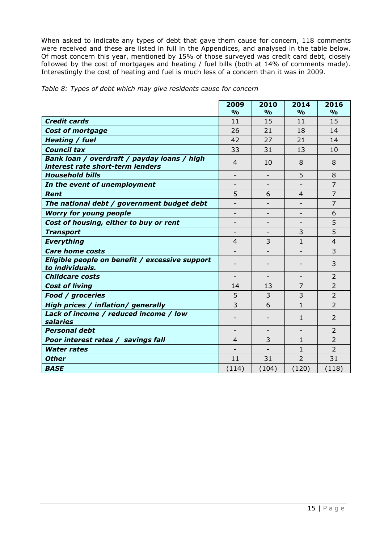When asked to indicate any types of debt that gave them cause for concern, 118 comments were received and these are listed in full in the Appendices, and analysed in the table below. Of most concern this year, mentioned by 15% of those surveyed was credit card debt, closely followed by the cost of mortgages and heating / fuel bills (both at 14% of comments made). Interestingly the cost of heating and fuel is much less of a concern than it was in 2009.

|  | Table 8: Types of debt which may give residents cause for concern |  |  |
|--|-------------------------------------------------------------------|--|--|
|  |                                                                   |  |  |

|                                                                                 | 2009           | 2010          | 2014           | 2016           |
|---------------------------------------------------------------------------------|----------------|---------------|----------------|----------------|
|                                                                                 | $\frac{0}{0}$  | $\frac{0}{0}$ | $\frac{0}{0}$  | $\frac{0}{0}$  |
| <b>Credit cards</b>                                                             | 11             | 15            | 11             | 15             |
| <b>Cost of mortgage</b>                                                         | 26             | 21            | 18             | 14             |
| <b>Heating / fuel</b>                                                           | 42             | 27            | 21             | 14             |
| <b>Council tax</b>                                                              | 33             | 31            | 13             | 10             |
| Bank loan / overdraft / payday loans / high<br>interest rate short-term lenders | $\overline{4}$ | 10            | 8              | 8              |
| <b>Household bills</b>                                                          |                |               | 5              | 8              |
| In the event of unemployment                                                    |                |               |                | $\overline{7}$ |
| Rent                                                                            | 5              | 6             | 4              | $\overline{7}$ |
| The national debt / government budget debt                                      |                |               |                | 7              |
| <b>Worry for young people</b>                                                   |                |               |                | 6              |
| Cost of housing, either to buy or rent                                          |                |               |                | 5              |
| <b>Transport</b>                                                                |                |               | 3              | 5              |
| <b>Everything</b>                                                               | $\overline{4}$ | 3             | $\mathbf{1}$   | $\overline{4}$ |
| <b>Care home costs</b>                                                          |                |               |                | 3              |
| Eligible people on benefit / excessive support<br>to individuals.               |                |               |                | 3              |
| <b>Childcare costs</b>                                                          |                |               |                | 2              |
| <b>Cost of living</b>                                                           | 14             | 13            | $\overline{7}$ | $\overline{2}$ |
| <b>Food / groceries</b>                                                         | 5              | 3             | 3              | 2              |
| High prices / inflation/ generally                                              | 3              | 6             | $\mathbf{1}$   | $\overline{2}$ |
| Lack of income / reduced income / low<br>salaries                               |                |               | 1              | 2              |
| <b>Personal debt</b>                                                            |                |               |                | $\overline{2}$ |
| Poor interest rates / savings fall                                              | $\overline{4}$ | 3             | 1              | $\overline{2}$ |
| <b>Water rates</b>                                                              |                |               | 1              | $\overline{2}$ |
| <b>Other</b>                                                                    | 11             | 31            | $\overline{2}$ | 31             |
| <b>BASE</b>                                                                     | (114)          | (104)         | (120)          | (118)          |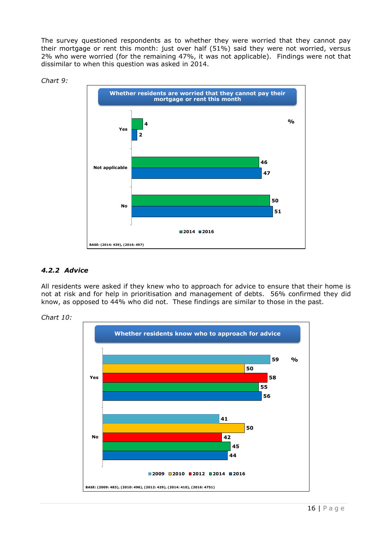The survey questioned respondents as to whether they were worried that they cannot pay their mortgage or rent this month: just over half (51%) said they were not worried, versus 2% who were worried (for the remaining 47%, it was not applicable). Findings were not that dissimilar to when this question was asked in 2014.





#### *4.2.2 Advice*

All residents were asked if they knew who to approach for advice to ensure that their home is not at risk and for help in prioritisation and management of debts. 56% confirmed they did know, as opposed to 44% who did not. These findings are similar to those in the past.



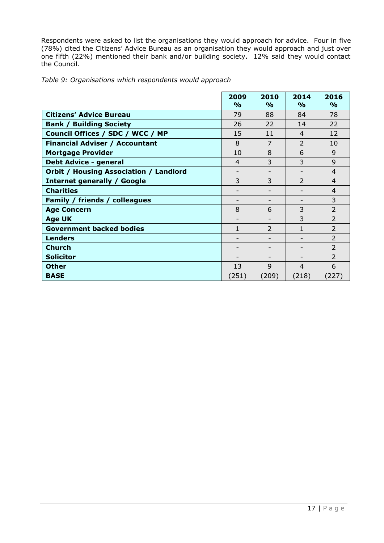Respondents were asked to list the organisations they would approach for advice. Four in five (78%) cited the Citizens' Advice Bureau as an organisation they would approach and just over one fifth (22%) mentioned their bank and/or building society. 12% said they would contact the Council.

|  | Table 9: Organisations which respondents would approach |  |  |
|--|---------------------------------------------------------|--|--|
|  |                                                         |  |  |

|                                               | 2009<br>$\frac{0}{0}$ | 2010<br>$\frac{1}{\alpha}$ | 2014<br>$\frac{0}{0}$ | 2016<br>$\frac{0}{0}$ |
|-----------------------------------------------|-----------------------|----------------------------|-----------------------|-----------------------|
| <b>Citizens' Advice Bureau</b>                | 79                    | 88                         | 84                    | 78                    |
| <b>Bank / Building Society</b>                | 26                    | 22                         | 14                    | 22                    |
| Council Offices / SDC / WCC / MP              | 15                    | 11                         | $\overline{4}$        | 12                    |
| <b>Financial Adviser / Accountant</b>         | 8                     | 7                          | $\overline{2}$        | 10                    |
| <b>Mortgage Provider</b>                      | 10                    | 8                          | 6                     | 9                     |
| <b>Debt Advice - general</b>                  | $\overline{4}$        | 3                          | 3                     | 9                     |
| <b>Orbit / Housing Association / Landlord</b> |                       |                            |                       | 4                     |
| <b>Internet generally / Google</b>            | 3                     | 3                          | $\overline{2}$        | 4                     |
| <b>Charities</b>                              |                       |                            |                       | $\overline{4}$        |
| Family / friends / colleagues                 |                       |                            |                       | 3                     |
| <b>Age Concern</b>                            | 8                     | 6                          | 3                     | $\overline{2}$        |
| <b>Age UK</b>                                 |                       |                            | 3                     | $\overline{2}$        |
| <b>Government backed bodies</b>               | 1                     | $\overline{2}$             | 1                     | $\overline{2}$        |
| <b>Lenders</b>                                |                       |                            |                       | $\overline{2}$        |
| <b>Church</b>                                 |                       |                            |                       | $\overline{2}$        |
| <b>Solicitor</b>                              |                       |                            |                       | $\overline{2}$        |
| <b>Other</b>                                  | 13                    | 9                          | 4                     | 6                     |
| <b>BASE</b>                                   | (251)                 | (209)                      | (218)                 | (227)                 |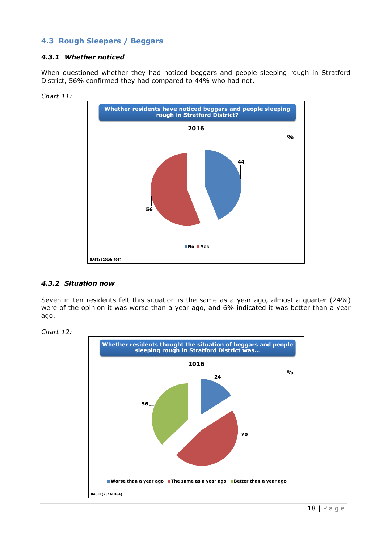#### **4.3 Rough Sleepers / Beggars**

#### *4.3.1 Whether noticed*

When questioned whether they had noticed beggars and people sleeping rough in Stratford District, 56% confirmed they had compared to 44% who had not.



*Chart 11:*

#### *4.3.2 Situation now*

Seven in ten residents felt this situation is the same as a year ago, almost a quarter (24%) were of the opinion it was worse than a year ago, and 6% indicated it was better than a year ago.



*Chart 12:*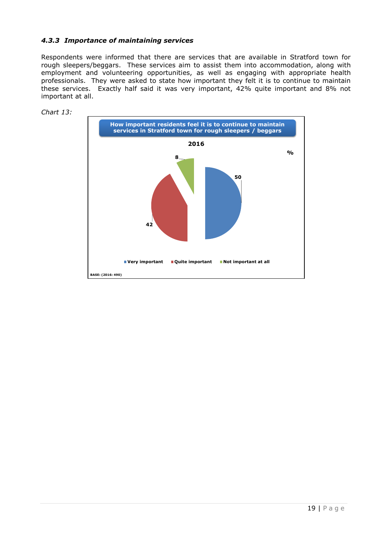#### *4.3.3 Importance of maintaining services*

Respondents were informed that there are services that are available in Stratford town for rough sleepers/beggars. These services aim to assist them into accommodation, along with employment and volunteering opportunities, as well as engaging with appropriate health professionals. They were asked to state how important they felt it is to continue to maintain these services. Exactly half said it was very important, 42% quite important and 8% not important at all.



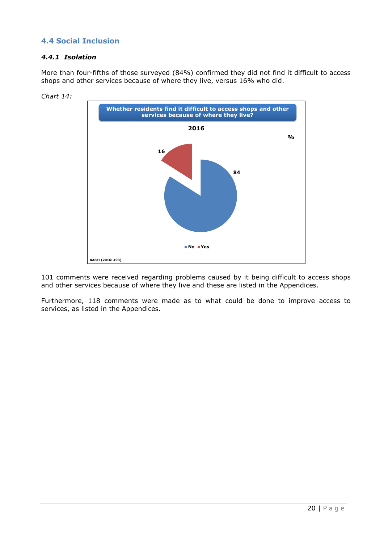#### **4.4 Social Inclusion**

#### *4.4.1 Isolation*

More than four-fifths of those surveyed (84%) confirmed they did not find it difficult to access shops and other services because of where they live, versus 16% who did.



*Chart 14:*

101 comments were received regarding problems caused by it being difficult to access shops and other services because of where they live and these are listed in the Appendices.

Furthermore, 118 comments were made as to what could be done to improve access to services, as listed in the Appendices.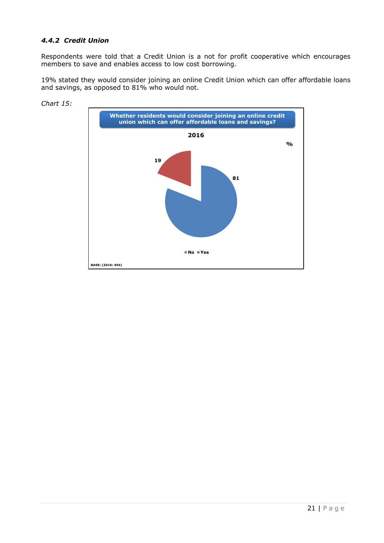#### *4.4.2 Credit Union*

Respondents were told that a Credit Union is a not for profit cooperative which encourages members to save and enables access to low cost borrowing.

19% stated they would consider joining an online Credit Union which can offer affordable loans and savings, as opposed to 81% who would not.



*Chart 15:*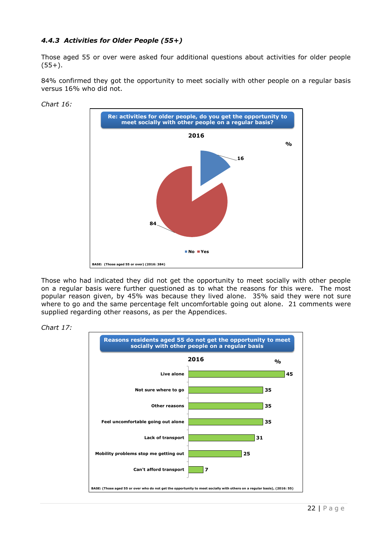#### *4.4.3 Activities for Older People (55+)*

Those aged 55 or over were asked four additional questions about activities for older people  $(55+)$ .

84% confirmed they got the opportunity to meet socially with other people on a regular basis versus 16% who did not.



Those who had indicated they did not get the opportunity to meet socially with other people on a regular basis were further questioned as to what the reasons for this were. The most popular reason given, by 45% was because they lived alone. 35% said they were not sure where to go and the same percentage felt uncomfortable going out alone. 21 comments were supplied regarding other reasons, as per the Appendices.



*Chart 17:*

*Chart 16:*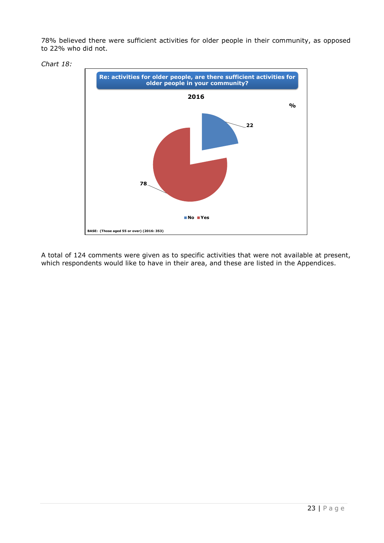78% believed there were sufficient activities for older people in their community, as opposed to 22% who did not.



*Chart 18:*

A total of 124 comments were given as to specific activities that were not available at present, which respondents would like to have in their area, and these are listed in the Appendices.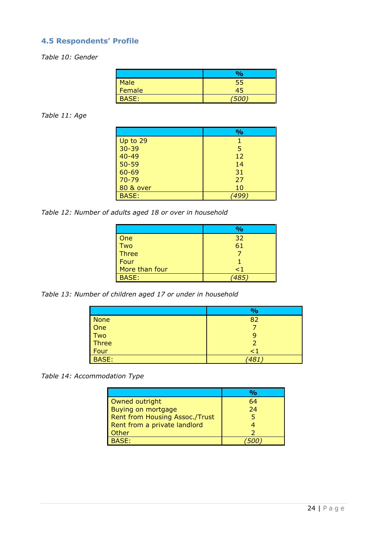## **4.5 Respondents' Profile**

*Table 10: Gender*

|              | 9/6 |
|--------------|-----|
| Male         | ככ  |
| Female       |     |
| <b>3ASE:</b> |     |

#### *Table 11: Age*

|                      | $\frac{6}{6}$ |
|----------------------|---------------|
| Up to 29             |               |
| $30 - 39$            | 5             |
| $40 - 49$            | 12            |
| $50 - 59$            | 14            |
| 60-69                | 31            |
| $70 - 79$            | 27            |
| <b>80 &amp; over</b> | 10            |
| <b>BASE:</b>         |               |

*Table 12: Number of adults aged 18 or over in household*

|                | $\frac{6}{6}$ |
|----------------|---------------|
| One            | 32            |
| Two            | 61            |
| <b>Three</b>   |               |
| Four           |               |
| More than four | $\leq$ 1      |
| <b>BASE:</b>   |               |

*Table 13: Number of children aged 17 or under in household*

|              | $\frac{9}{6}$ |
|--------------|---------------|
| <b>None</b>  | 82            |
| One          |               |
| Two          | 9             |
| Three        | 2             |
| Four         | $\leq$ 1      |
| <b>BASE:</b> | 481           |

*Table 14: Accommodation Type*

| Owned outright                        | 64 |
|---------------------------------------|----|
| Buying on mortgage                    | 24 |
| <b>Rent from Housing Assoc./Trust</b> |    |
| Rent from a private landlord          |    |
| Other                                 |    |
| <b>BASE:</b>                          |    |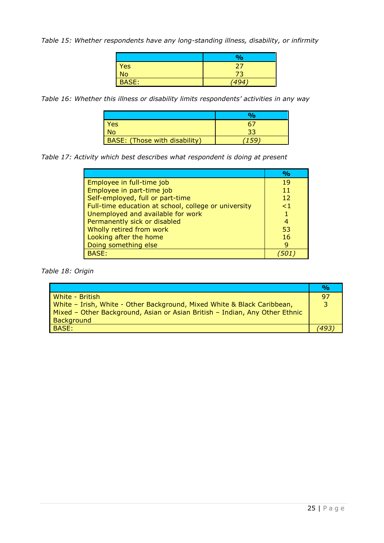*Table 15: Whether respondents have any long-standing illness, disability, or infirmity*

|              | $\frac{6}{6}$ |
|--------------|---------------|
| <b>Yes</b>   | 27            |
| <b>No</b>    |               |
| <b>BASE:</b> | (494)         |

*Table 16: Whether this illness or disability limits respondents' activities in any way*

|                               | $\sigma$ |
|-------------------------------|----------|
| Yes                           | 61       |
| <b>No</b>                     |          |
| BASE: (Those with disability) |          |

*Table 17: Activity which best describes what respondent is doing at present*

|                                                      | $\frac{0}{\alpha}$ |
|------------------------------------------------------|--------------------|
| Employee in full-time job                            | 19                 |
| Employee in part-time job                            | 11                 |
| Self-employed, full or part-time                     | $12 \overline{ }$  |
| Full-time education at school, college or university | $\leq$ 1           |
| Unemployed and available for work                    |                    |
| Permanently sick or disabled                         | 4                  |
| Wholly retired from work                             | 53                 |
| Looking after the home                               | 16                 |
| Doing something else                                 | g                  |
| <b>BASE:</b>                                         |                    |

*Table 18: Origin*

|                                                                             | $\frac{O}{O}$ |
|-----------------------------------------------------------------------------|---------------|
| White - British                                                             | 97            |
| White - Irish, White - Other Background, Mixed White & Black Caribbean,     |               |
| Mixed - Other Background, Asian or Asian British - Indian, Any Other Ethnic |               |
| Background                                                                  |               |
| BASE:                                                                       |               |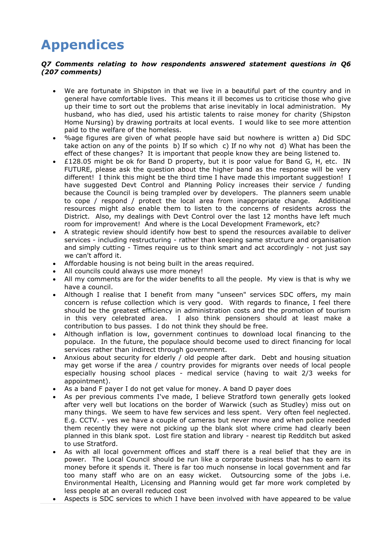## **Appendices**

#### *Q7 Comments relating to how respondents answered statement questions in Q6 (207 comments)*

- We are fortunate in Shipston in that we live in a beautiful part of the country and in general have comfortable lives. This means it ill becomes us to criticise those who give up their time to sort out the problems that arise inevitably in local administration. My husband, who has died, used his artistic talents to raise money for charity (Shipston Home Nursing) by drawing portraits at local events. I would like to see more attention paid to the welfare of the homeless.
- %age figures are given of what people have said but nowhere is written a) Did SDC take action on any of the points b) If so which c) If no why not d) What has been the effect of these changes? It is important that people know they are being listened to.
- £128.05 might be ok for Band D property, but it is poor value for Band G, H, etc. IN FUTURE, please ask the question about the higher band as the response will be very different! I think this might be the third time I have made this important suggestion! I have suggested Devt Control and Planning Policy increases their service / funding because the Council is being trampled over by developers. The planners seem unable to cope / respond / protect the local area from inappropriate change. Additional resources might also enable them to listen to the concerns of residents across the District. Also, my dealings with Devt Control over the last 12 months have left much room for improvement! And where is the Local Development Framework, etc?
- A strategic review should identify how best to spend the resources available to deliver services - including restructuring - rather than keeping same structure and organisation and simply cutting - Times require us to think smart and act accordingly - not just say we can't afford it.
- Affordable housing is not being built in the areas required.
- All councils could always use more money!
- All my comments are for the wider benefits to all the people. My view is that is why we have a council.
- Although I realise that I benefit from many "unseen" services SDC offers, my main concern is refuse collection which is very good. With regards to finance, I feel there should be the greatest efficiency in administration costs and the promotion of tourism in this very celebrated area. I also think pensioners should at least make a contribution to bus passes. I do not think they should be free.
- Although inflation is low, government continues to download local financing to the populace. In the future, the populace should become used to direct financing for local services rather than indirect through government.
- Anxious about security for elderly / old people after dark. Debt and housing situation may get worse if the area / country provides for migrants over needs of local people especially housing school places - medical service (having to wait 2/3 weeks for appointment).
- As a band F payer I do not get value for money. A band D payer does
- As per previous comments I've made, I believe Stratford town generally gets looked after very well but locations on the border of Warwick (such as Studley) miss out on many things. We seem to have few services and less spent. Very often feel neglected. E.g. CCTV. - yes we have a couple of cameras but never move and when police needed them recently they were not picking up the blank slot where crime had clearly been planned in this blank spot. Lost fire station and library - nearest tip Redditch but asked to use Stratford.
- As with all local government offices and staff there is a real belief that they are in power. The Local Council should be run like a corporate business that has to earn its money before it spends it. There is far too much nonsense in local government and far too many staff who are on an easy wicket. Outsourcing some of the jobs i.e. Environmental Health, Licensing and Planning would get far more work completed by less people at an overall reduced cost
- Aspects is SDC services to which I have been involved with have appeared to be value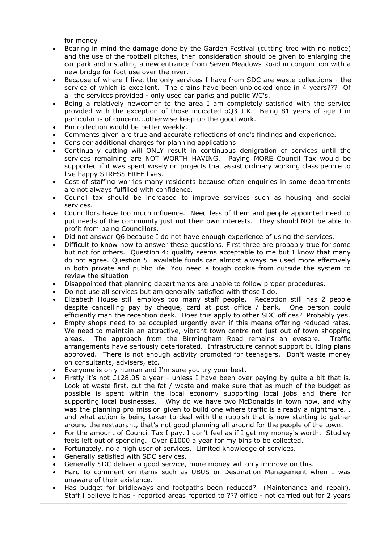for money

- Bearing in mind the damage done by the Garden Festival (cutting tree with no notice) and the use of the football pitches, then consideration should be given to enlarging the car park and installing a new entrance from Seven Meadows Road in conjunction with a new bridge for foot use over the river.
- Because of where I live, the only services I have from SDC are waste collections the service of which is excellent. The drains have been unblocked once in 4 years??? Of all the services provided - only used car parks and public WC's.
- Being a relatively newcomer to the area I am completely satisfied with the service provided with the exception of those indicated oQ3 J.K. Being 81 years of age J in particular is of concern...otherwise keep up the good work.
- Bin collection would be better weekly.
- Comments given are true and accurate reflections of one's findings and experience.
- Consider additional charges for planning applications
- Continually cutting will ONLY result in continuous denigration of services until the services remaining are NOT WORTH HAVING. Paying MORE Council Tax would be supported if it was spent wisely on projects that assist ordinary working class people to live happy STRESS FREE lives.
- Cost of staffing worries many residents because often enquiries in some departments are not always fulfilled with confidence.
- Council tax should be increased to improve services such as housing and social services.
- Councillors have too much influence. Need less of them and people appointed need to put needs of the community just not their own interests. They should NOT be able to profit from being Councillors.
- Did not answer Q6 because I do not have enough experience of using the services.
- Difficult to know how to answer these questions. First three are probably true for some but not for others. Question 4: quality seems acceptable to me but I know that many do not agree. Question 5: available funds can almost always be used more effectively in both private and public life! You need a tough cookie from outside the system to review the situation!
- Disappointed that planning departments are unable to follow proper procedures.
- Do not use all services but am generally satisfied with those I do.
- Elizabeth House still employs too many staff people. Reception still has 2 people despite cancelling pay by cheque, card at post office / bank. One person could efficiently man the reception desk. Does this apply to other SDC offices? Probably yes.
- Empty shops need to be occupied urgently even if this means offering reduced rates. We need to maintain an attractive, vibrant town centre not just out of town shopping areas. The approach from the Birmingham Road remains an eyesore. Traffic arrangements have seriously deteriorated. Infrastructure cannot support building plans approved. There is not enough activity promoted for teenagers. Don't waste money on consultants, advisers, etc.
- Everyone is only human and I'm sure you try your best.
- Firstly it's not £128.05 a year unless I have been over paying by quite a bit that is. Look at waste first, cut the fat / waste and make sure that as much of the budget as possible is spent within the local economy supporting local jobs and there for supporting local businesses. Why do we have two McDonalds in town now, and why was the planning pro mission given to build one where traffic is already a nightmare... and what action is being taken to deal with the rubbish that is now starting to gather around the restaurant, that's not good planning all around for the people of the town.
- For the amount of Council Tax I pay, I don't feel as if I get my money's worth. Studley feels left out of spending. Over £1000 a year for my bins to be collected.
- Fortunately, no a high user of services. Limited knowledge of services.
- Generally satisfied with SDC services.
- Generally SDC deliver a good service, more money will only improve on this.
- Hard to comment on items such as UBUS or Destination Management when I was unaware of their existence.
- Has budget for bridleways and footpaths been reduced? (Maintenance and repair). Staff I believe it has - reported areas reported to ??? office - not carried out for 2 years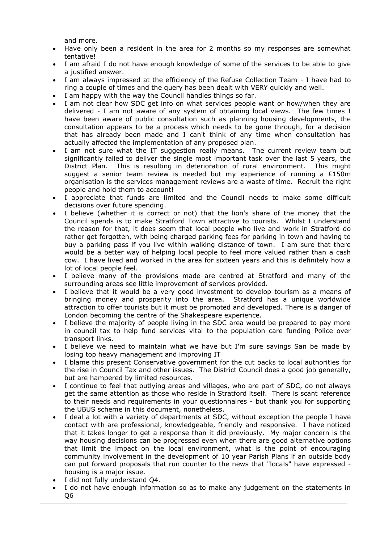and more.

- Have only been a resident in the area for 2 months so my responses are somewhat tentative!
- I am afraid I do not have enough knowledge of some of the services to be able to give a justified answer.
- I am always impressed at the efficiency of the Refuse Collection Team I have had to ring a couple of times and the query has been dealt with VERY quickly and well.
- I am happy with the way the Council handles things so far.
- I am not clear how SDC get info on what services people want or how/when they are delivered - I am not aware of any system of obtaining local views. The few times I have been aware of public consultation such as planning housing developments, the consultation appears to be a process which needs to be gone through, for a decision that has already been made and I can't think of any time when consultation has actually affected the implementation of any proposed plan.
- I am not sure what the IT suggestion really means. The current review team but significantly failed to deliver the single most important task over the last 5 years, the District Plan. This is resulting in deterioration of rural environment. This might suggest a senior team review is needed but my experience of running a  $£150m$ organisation is the services management reviews are a waste of time. Recruit the right people and hold them to account!
- I appreciate that funds are limited and the Council needs to make some difficult decisions over future spending.
- I believe (whether it is correct or not) that the lion's share of the money that the Council spends is to make Stratford Town attractive to tourists. Whilst I understand the reason for that, it does seem that local people who live and work in Stratford do rather get forgotten, with being charged parking fees for parking in town and having to buy a parking pass if you live within walking distance of town. I am sure that there would be a better way of helping local people to feel more valued rather than a cash cow. I have lived and worked in the area for sixteen years and this is definitely how a lot of local people feel.
- I believe many of the provisions made are centred at Stratford and many of the surrounding areas see little improvement of services provided.
- I believe that it would be a very good investment to develop tourism as a means of bringing money and prosperity into the area. Stratford has a unique worldwide attraction to offer tourists but it must be promoted and developed. There is a danger of London becoming the centre of the Shakespeare experience.
- I believe the majority of people living in the SDC area would be prepared to pay more in council tax to help fund services vital to the population care funding Police over transport links.
- I believe we need to maintain what we have but I'm sure savings San be made by losing top heavy management and improving IT
- I blame this present Conservative government for the cut backs to local authorities for the rise in Council Tax and other issues. The District Council does a good job generally, but are hampered by limited resources.
- I continue to feel that outlying areas and villages, who are part of SDC, do not always get the same attention as those who reside in Stratford itself. There is scant reference to their needs and requirements in your questionnaires - but thank you for supporting the UBUS scheme in this document, nonetheless.
- I deal a lot with a variety of departments at SDC, without exception the people I have contact with are professional, knowledgeable, friendly and responsive. I have noticed that it takes longer to get a response than it did previously. My major concern is the way housing decisions can be progressed even when there are good alternative options that limit the impact on the local environment, what is the point of encouraging community involvement in the development of 10 year Parish Plans if an outside body can put forward proposals that run counter to the news that "locals" have expressed housing is a major issue.
- I did not fully understand Q4.
- I do not have enough information so as to make any judgement on the statements in Q6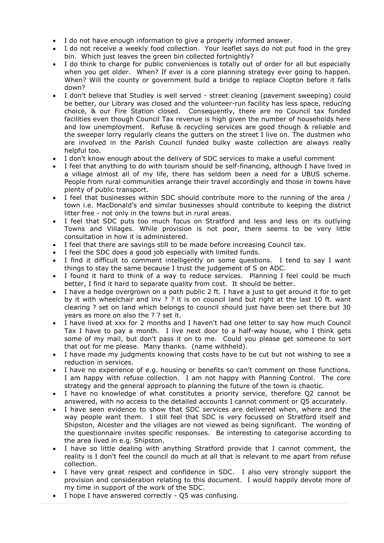- I do not have enough information to give a properly informed answer.
- I do not receive a weekly food collection. Your leaflet says do not put food in the grey bin. Which just leaves the green bin collected fortnightly?
- I do think to charge for public conveniences is totally out of order for all but especially when you get older. When? If ever is a core planning strategy ever going to happen. When? Will the county or government build a bridge to replace Clopton before it falls down?
- I don't believe that Studley is well served street cleaning (pavement sweeping) could be better, our Library was closed and the volunteer-run facility has less space, reducing choice, & our Fire Station closed. Consequently, there are no Council tax funded facilities even though Council Tax revenue is high given the number of households here and low unemployment. Refuse & recycling services are good though & reliable and the sweeper lorry regularly cleans the gutters on the street I live on. The dustmen who are involved in the Parish Council funded bulky waste collection are always really helpful too.
- I don't know enough about the delivery of SDC services to make a useful comment
- I feel that anything to do with tourism should be self-financing, although I have lived in a village almost all of my life, there has seldom been a need for a UBUS scheme. People from rural communities arrange their travel accordingly and those in towns have plenty of public transport.
- I feel that businesses within SDC should contribute more to the running of the area / town i.e. MacDonald's and similar businesses should contribute to keeping the district litter free - not only in the towns but in rural areas.
- I feel that SDC puts too much focus on Stratford and less and less on its outlying Towns and Villages. While provision is not poor, there seems to be very little consultation in how it is administered.
- I feel that there are savings still to be made before increasing Council tax.
- I feel the SDC does a good job especially with limited funds.
- I find it difficult to comment intelligently on some questions. I tend to say I want things to stay the same because I trust the judgement of S on ADC.
- I found it hard to think of a way to reduce services. Planning I feel could be much better, I find it hard to separate quality from cost. It should be better.
- I have a hedge overgrown on a path public 2 ft. I have a just to get around it for to get by it with wheelchair and inv ? ? it is on council land but right at the last 10 ft. want clearing ? set on land which belongs to council should just have been set there but 30 years as more on also the ? ? set it.
- I have lived at xxx for 2 months and I haven't had one letter to say how much Council Tax I have to pay a month. I live next door to a half-way house, who I think gets some of my mail, but don't pass it on to me. Could you please get someone to sort that out for me please. Many thanks. (name withheld).
- I have made my judgments knowing that costs have to be cut but not wishing to see a reduction in services.
- I have no experience of e.g. housing or benefits so can't comment on those functions. I am happy with refuse collection. I am not happy with Planning Control. The core strategy and the general approach to planning the future of the town is chaotic.
- I have no knowledge of what constitutes a priority service, therefore Q2 cannot be answered, with no access to the detailed accounts I cannot comment or Q5 accurately.
- I have seen evidence to show that SDC services are delivered when, where and the way people want them. I still feel that SDC is very focussed on Stratford itself and Shipston, Alcester and the villages are not viewed as being significant. The wording of the questionnaire invites specific responses. Be interesting to categorise according to the area lived in e.g. Shipston.
- I have so little dealing with anything Stratford provide that I cannot comment, the reality is I don't feel the council do much at all that is relevant to me apart from refuse collection.
- I have very great respect and confidence in SDC. I also very strongly support the provision and consideration relating to this document. I would happily devote more of my time in support of the work of the SDC.
- I hope I have answered correctly Q5 was confusing.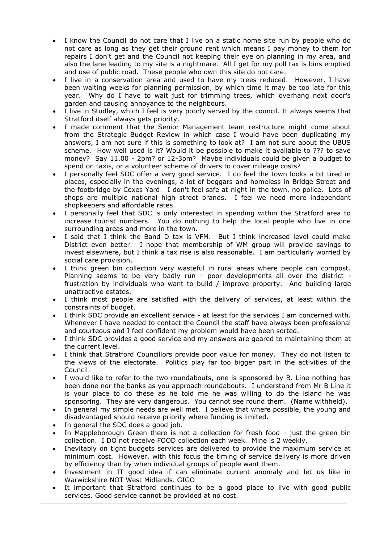- I know the Council do not care that I live on a static home site run by people who do not care as long as they get their ground rent which means I pay money to them for repairs I don't get and the Council not keeping their eye on planning in my area, and also the lane leading to my site is a nightmare. All I get for my poll tax is bins emptied and use of public road. These people who own this site do not care.
- I live in a conservation area and used to have my trees reduced. However, I have been waiting weeks for planning permission, by which time it may be too late for this year. Why do I have to wait just for trimming trees, which overhang next door's garden and causing annoyance to the neighbours.
- I live in Studley, which I feel is very poorly served by the council. It always seems that Stratford itself always gets priority.
- I made comment that the Senior Management team restructure might come about from the Strategic Budget Review in which case I would have been duplicating my answers, I am not sure if this is something to look at? I am not sure about the UBUS scheme. How well used is it? Would it be possible to make it available to ??? to save money? Say 11.00 - 2pm? or 12-3pm? Maybe individuals could be given a budget to spend on taxis, or a volunteer scheme of drivers to cover mileage costs?
- I personally feel SDC offer a very good service. I do feel the town looks a bit tired in places, especially in the evenings, a lot of beggars and homeless in Bridge Street and the footbridge by Coxes Yard. I don't feel safe at night in the town, no police. Lots of shops are multiple national high street brands. I feel we need more independant shopkeepers and affordable rates.
- I personally feel that SDC is only interested in spending within the Stratford area to increase tourist numbers. You do nothing to help the local people who live in one surrounding areas and more in the town.
- I said that I think the Band D tax is VFM. But I think increased level could make District even better. I hope that membership of WM group will provide savings to invest elsewhere, but I think a tax rise is also reasonable. I am particularly worried by social care provision.
- I think green bin collection very wasteful in rural areas where people can compost. Planning seems to be very badly run - poor developments all over the district frustration by individuals who want to build / improve property. And building large unattractive estates.
- I think most people are satisfied with the delivery of services, at least within the constraints of budget.
- I think SDC provide an excellent service at least for the services I am concerned with. Whenever I have needed to contact the Council the staff have always been professional and courteous and I feel confident my problem would have been sorted.
- I think SDC provides a good service and my answers are geared to maintaining them at the current level.
- I think that Stratford Councillors provide poor value for money. They do not listen to the views of the electorate. Politics play far too bigger part in the activities of the Council.
- I would like to refer to the two roundabouts, one is sponsored by B. Line nothing has been done nor the banks as you approach roundabouts. I understand from Mr B Line it is your place to do these as he told me he was willing to do the island he was sponsoring. They are very dangerous. You cannot see round them. (Name withheld).
- In general my simple needs are well met. I believe that where possible, the young and disadvantaged should receive priority where funding is limited.
- In general the SDC does a good job.
- In Mappleborough Green there is not a collection for fresh food just the green bin collection. I DO not receive FOOD collection each week. Mine is 2 weekly.
- Inevitably on tight budgets services are delivered to provide the maximum service at minimum cost. However, with this focus the timing of service delivery is more driven by efficiency than by when individual groups of people want them.
- Investment in IT good idea if can eliminate current anomaly and let us like in Warwickshire NOT West Midlands. GIGO
- It important that Stratford continues to be a good place to live with good public services. Good service cannot be provided at no cost.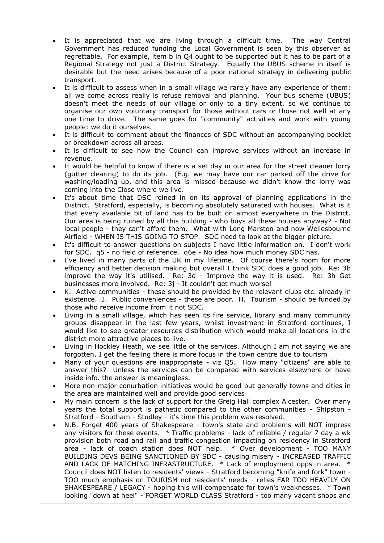- It is appreciated that we are living through a difficult time. The way Central Government has reduced funding the Local Government is seen by this observer as regrettable. For example, item b in Q4 ought to be supported but it has to be part of a Regional Strategy not just a District Strategy. Equally the UBUS scheme in itself is desirable but the need arises because of a poor national strategy in delivering public transport.
- It is difficult to assess when in a small village we rarely have any experience of them: all we come across really is refuse removal and planning. Your bus scheme (UBUS) doesn't meet the needs of our village or only to a tiny extent, so we continue to organise our own voluntary transport for those without cars or those not well at any one time to drive. The same goes for "community" activities and work with young people: we do it ourselves.
- It is difficult to comment about the finances of SDC without an accompanying booklet or breakdown across all areas.
- It is difficult to see how the Council can improve services without an increase in revenue.
- It would be helpful to know if there is a set day in our area for the street cleaner lorry (gutter clearing) to do its job. (E.g. we may have our car parked off the drive for washing/loading up, and this area is missed because we didn't know the lorry was coming into the Close where we live.
- It's about time that DSC reined in on its approval of planning applications in the District. Stratford, especially, is becoming absolutely saturated with houses. What is it that every available bit of land has to be built on almost everywhere in the District. Our area is being ruined by all this building - who buys all these houses anyway? - Not local people - they can't afford them. What with Long Marston and now Wellesbourne Airfield - WHEN IS THIS GOING TO STOP. SDC need to look at the bigger picture.
- It's difficult to answer questions on subjects I have little information on. I don't work for SDC. q5 - no field of reference. q6e - No idea how much money SDC has.
- I've lived in many parts of the UK in my lifetime. Of course there's room for more efficiency and better decision making but overall I think SDC does a good job. Re: 3b improve the way it's utilised. Re: 3d - Improve the way it is used. Re: 3h Get businesses more involved. Re: 3j - It couldn't get much worse!
- K. Active communities these should be provided by the relevant clubs etc. already in existence. J. Public conveniences - these are poor. H. Tourism - should be funded by those who receive income from it not SDC.
- Living in a small village, which has seen its fire service, library and many community groups disappear in the last few years, whilst investment in Stratford continues, I would like to see greater resources distribution which would make all locations in the district more attractive places to live.
- Living in Hockley Heath, we see little of the services. Although I am not saying we are forgotten, I get the feeling there is more focus in the town centre due to tourism
- Many of your questions are inappropriate viz Q5. How many "citizens" are able to answer this? Unless the services can be compared with services elsewhere or have inside info. the answer is meaningless.
- More non-major conurbation initiatives would be good but generally towns and cities in the area are maintained well and provide good services
- My main concern is the lack of support for the Greig Hall complex Alcester. Over many years the total support is pathetic compared to the other communities - Shipston - Stratford - Southam - Studley - it's time this problem was resolved.
- N.B. Forget 400 years of Shakespeare town's state and problems will NOT impress any visitors for these events. \* Traffic problems - lack of reliable / regular 7 day a wk provision both road and rail and traffic congestion impacting on residency in Stratford area - lack of coach station does NOT help. \* Over development - TOO MANY BUILDING DEVS BEING SANCTIONED BY SDC - causing misery - INCREASED TRAFFIC AND LACK OF MATCHING INFRASTRUCTURE. \* Lack of employment opps in area. \* Council does NOT listen to residents' views - Stratford becoming "knife and fork" town - TOO much emphasis on TOURISM not residents' needs - relies FAR TOO HEAVILY ON SHAKESPEARE / LEGACY - hoping this will compensate for town's weaknesses. \* Town looking "down at heel" - FORGET WORLD CLASS Stratford - too many vacant shops and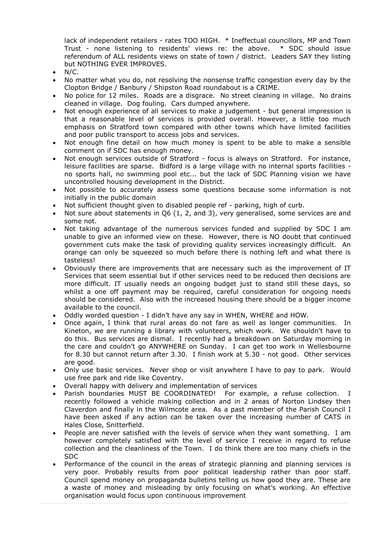lack of independent retailers - rates TOO HIGH. \* Ineffectual councillors, MP and Town Trust - none listening to residents' views re: the above. \* SDC should issue referendum of ALL residents views on state of town / district. Leaders SAY they listing but NOTHING EVER IMPROVES.

- N/C.
- No matter what you do, not resolving the nonsense traffic congestion every day by the Clopton Bridge / Banbury / Shipston Road roundabout is a CRIME.
- No police for 12 miles. Roads are a disgrace. No street cleaning in village. No drains cleaned in village. Dog fouling. Cars dumped anywhere.
- Not enough experience of all services to make a judgement but general impression is that a reasonable level of services is provided overall. However, a little too much emphasis on Stratford town compared with other towns which have limited facilities and poor public transport to access jobs and services.
- Not enough fine detail on how much money is spent to be able to make a sensible comment on if SDC has enough money.
- Not enough services outside of Stratford focus is always on Stratford. For instance, leisure facilities are sparse. Bidford is a large village with no internal sports facilities no sports hall, no swimming pool etc... but the lack of SDC Planning vision we have uncontrolled housing development in the District.
- Not possible to accurately assess some questions because some information is not initially in the public domain
- Not sufficient thought given to disabled people ref parking, high of curb.
- Not sure about statements in Q6 (1, 2, and 3), very generalised, some services are and some not.
- Not taking advantage of the numerous services funded and supplied by SDC I am unable to give an informed view on these. However, there is NO doubt that continued government cuts make the task of providing quality services increasingly difficult. An orange can only be squeezed so much before there is nothing left and what there is tasteless!
- Obviously there are improvements that are necessary such as the improvement of IT Services that seem essential but if other services need to be reduced then decisions are more difficult. IT usually needs an ongoing budget just to stand still these days, so whilst a one off payment may be required, careful consideration for ongoing needs should be considered. Also with the increased housing there should be a bigger income available to the council.
- Oddly worded question I didn't have any say in WHEN, WHERE and HOW.
- Once again, I think that rural areas do not fare as well as longer communities. In Kineton, we are running a library with volunteers, which work. We shouldn't have to do this. Bus services are dismal. I recently had a breakdown on Saturday morning in the care and couldn't go ANYWHERE on Sunday. I can get too work in Wellesbourne for 8.30 but cannot return after 3.30. I finish work at 5.30 - not good. Other services are good.
- Only use basic services. Never shop or visit anywhere I have to pay to park. Would use free park and ride like Coventry.
- Overall happy with delivery and implementation of services
- Parish boundaries MUST BE COORDINATED! For example, a refuse collection. I recently followed a vehicle making collection and in 2 areas of Norton Lindsey then Claverdon and finally in the Wilmcote area. As a past member of the Parish Council I have been asked if any action can be taken over the increasing number of CATS in Hales Close, Snitterfield.
- People are never satisfied with the levels of service when they want something. I am however completely satisfied with the level of service I receive in regard to refuse collection and the cleanliness of the Town. I do think there are too many chiefs in the SDC
- Performance of the council in the areas of strategic planning and planning services is very poor. Probably results from poor political leadership rather than poor staff. Council spend money on propaganda bulletins telling us how good they are. These are a waste of money and misleading by only focusing on what's working. An effective organisation would focus upon continuous improvement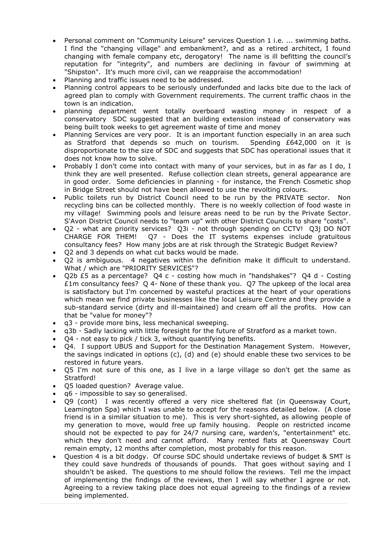- Personal comment on "Community Leisure" services Question 1 i.e. ... swimming baths. I find the "changing village" and embankment?, and as a retired architect, I found changing with female company etc, derogatory! The name is ill befitting the council's reputation for "integrity", and numbers are declining in favour of swimming at "Shipston". It's much more civil, can we reappraise the accommodation!
- Planning and traffic issues need to be addressed.
- Planning control appears to be seriously underfunded and lacks bite due to the lack of agreed plan to comply with Government requirements. The current traffic chaos in the town is an indication.
- planning department went totally overboard wasting money in respect of a conservatory SDC suggested that an building extension instead of conservatory was being built took weeks to get agreement waste of time and money
- Planning Services are very poor. It is an important function especially in an area such as Stratford that depends so much on tourism. Spending £642,000 on it is disproportionate to the size of SDC and suggests that SDC has operational issues that it does not know how to solve.
- Probably I don't come into contact with many of your services, but in as far as I do, I think they are well presented. Refuse collection clean streets, general appearance are in good order. Some deficiencies in planning - for instance, the French Cosmetic shop in Bridge Street should not have been allowed to use the revolting colours.
- Public toilets run by District Council need to be run by the PRIVATE sector. Non recycling bins can be collected monthly. There is no weekly collection of food waste in my village! Swimming pools and leisure areas need to be run by the Private Sector. S'Avon District Council needs to "team up" with other District Councils to share "costs".
- Q2 what are priority services? Q3i not through spending on CCTV! Q3j DO NOT CHARGE FOR THEM! Q7 - Does the IT systems expenses include gratuitous consultancy fees? How many jobs are at risk through the Strategic Budget Review?
- Q2 and 3 depends on what cut backs would be made.
- Q2 is ambiguous. 4 negatives within the definition make it difficult to understand. What / which are "PRIORITY SERVICES"?
- Q2b £5 as a percentage? Q4 c costing how much in "handshakes"? Q4 d Costing £1m consultancy fees? Q 4- None of these thank you. Q7 The upkeep of the local area is satisfactory but I'm concerned by wasteful practices at the heart of your operations which mean we find private businesses like the local Leisure Centre and they provide a sub-standard service (dirty and ill-maintained) and cream off all the profits. How can that be "value for money"?
- q3 provide more bins, less mechanical sweeping.
- q3b Sadly lacking with little foresight for the future of Stratford as a market town.
- Q4 not easy to pick / tick 3, without quantifying benefits.
- Q4. I support UBUS and Support for the Destination Management System. However, the savings indicated in options (c), (d) and (e) should enable these two services to be restored in future years.
- Q5 I'm not sure of this one, as I live in a large village so don't get the same as Stratford!
- Q5 loaded question? Average value.
- q6 impossible to say so generalised.
- Q9 (cont) I was recently offered a very nice sheltered flat (in Queensway Court, Leamington Spa) which I was unable to accept for the reasons detailed below. (A close friend is in a similar situation to me). This is very short-sighted, as allowing people of my generation to move, would free up family housing. People on restricted income should not be expected to pay for 24/7 nursing care, warden's, "entertainment" etc. which they don't need and cannot afford. Many rented flats at Queensway Court remain empty, 12 months after completion, most probably for this reason.
- Question 4 is a bit dodgy. Of course SDC should undertake reviews of budget & SMT is they could save hundreds of thousands of pounds. That goes without saying and I shouldn't be asked. The questions to me should follow the reviews. Tell me the impact of implementing the findings of the reviews, then I will say whether I agree or not. Agreeing to a review taking place does not equal agreeing to the findings of a review being implemented.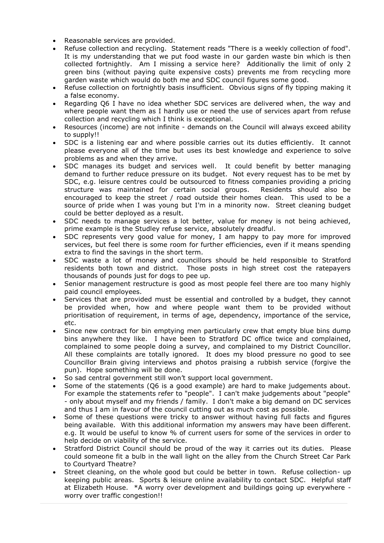- Reasonable services are provided.
- Refuse collection and recycling. Statement reads "There is a weekly collection of food". It is my understanding that we put food waste in our garden waste bin which is then collected fortnightly. Am I missing a service here? Additionally the limit of only 2 green bins (without paying quite expensive costs) prevents me from recycling more garden waste which would do both me and SDC council figures some good.
- Refuse collection on fortnightly basis insufficient. Obvious signs of fly tipping making it a false economy.
- Regarding Q6 I have no idea whether SDC services are delivered when, the way and where people want them as I hardly use or need the use of services apart from refuse collection and recycling which I think is exceptional.
- Resources (income) are not infinite demands on the Council will always exceed ability to supply!!
- SDC is a listening ear and where possible carries out its duties efficiently. It cannot please everyone all of the time but uses its best knowledge and experience to solve problems as and when they arrive.
- SDC manages its budget and services well. It could benefit by better managing demand to further reduce pressure on its budget. Not every request has to be met by SDC, e.g. leisure centres could be outsourced to fitness companies providing a pricing structure was maintained for certain social groups. Residents should also be encouraged to keep the street / road outside their homes clean. This used to be a source of pride when I was young but I'm in a minority now. Street cleaning budget could be better deployed as a result.
- SDC needs to manage services a lot better, value for money is not being achieved, prime example is the Studley refuse service, absolutely dreadful.
- SDC represents very good value for money, I am happy to pay more for improved services, but feel there is some room for further efficiencies, even if it means spending extra to find the savings in the short term.
- SDC waste a lot of money and councillors should be held responsible to Stratford residents both town and district. Those posts in high street cost the ratepayers thousands of pounds just for dogs to pee up.
- Senior management restructure is good as most people feel there are too many highly paid council employees.
- Services that are provided must be essential and controlled by a budget, they cannot be provided when, how and where people want them to be provided without prioritisation of requirement, in terms of age, dependency, importance of the service, etc.
- Since new contract for bin emptying men particularly crew that empty blue bins dump bins anywhere they like. I have been to Stratford DC office twice and complained, complained to some people doing a survey, and complained to my District Councillor. All these complaints are totally ignored. It does my blood pressure no good to see Councillor Brain giving interviews and photos praising a rubbish service (forgive the pun). Hope something will be done.
- So sad central government still won't support local government.
- Some of the statements (Q6 is a good example) are hard to make judgements about. For example the statements refer to "people". I can't make judgements about "people" - only about myself and my friends / family. I don't make a big demand on DC services and thus I am in favour of the council cutting out as much cost as possible.
- Some of these questions were tricky to answer without having full facts and figures being available. With this additional information my answers may have been different. e.g. It would be useful to know % of current users for some of the services in order to help decide on viability of the service.
- Stratford District Council should be proud of the way it carries out its duties. Please could someone fit a bulb in the wall light on the alley from the Church Street Car Park to Courtyard Theatre?
- Street cleaning, on the whole good but could be better in town. Refuse collection- up keeping public areas. Sports & leisure online availability to contact SDC. Helpful staff at Elizabeth House. \*A worry over development and buildings going up everywhere worry over traffic congestion!!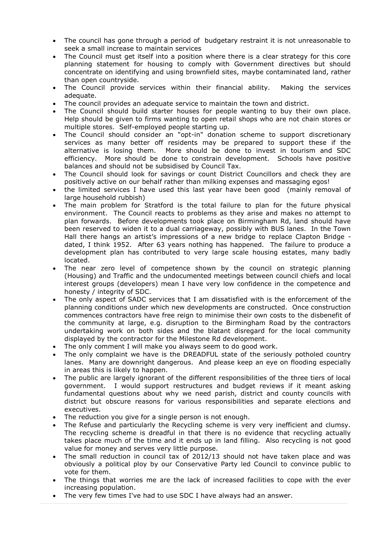- The council has gone through a period of budgetary restraint it is not unreasonable to seek a small increase to maintain services
- The Council must get itself into a position where there is a clear strategy for this core planning statement for housing to comply with Government directives but should concentrate on identifying and using brownfield sites, maybe contaminated land, rather than open countryside.
- The Council provide services within their financial ability. Making the services adequate.
- The council provides an adequate service to maintain the town and district.
- The Council should build starter houses for people wanting to buy their own place. Help should be given to firms wanting to open retail shops who are not chain stores or multiple stores. Self-employed people starting up.
- The Council should consider an "opt-in" donation scheme to support discretionary services as many better off residents may be prepared to support these if the alternative is losing them. More should be done to invest in tourism and SDC efficiency. More should be done to constrain development. Schools have positive balances and should not be subsidised by Council Tax.
- The Council should look for savings or count District Councillors and check they are positively active on our behalf rather than milking expenses and massaging egos!
- the limited services I have used this last year have been good (mainly removal of large household rubbish)
- The main problem for Stratford is the total failure to plan for the future physical environment. The Council reacts to problems as they arise and makes no attempt to plan forwards. Before developments took place on Birmingham Rd, land should have been reserved to widen it to a dual carriageway, possibly with BUS lanes. In the Town Hall there hangs an artist's impressions of a new bridge to replace Clapton Bridge dated, I think 1952. After 63 years nothing has happened. The failure to produce a development plan has contributed to very large scale housing estates, many badly located.
- The near zero level of competence shown by the council on strategic planning (Housing) and Traffic and the undocumented meetings between council chiefs and local interest groups (developers) mean I have very low confidence in the competence and honesty / integrity of SDC.
- The only aspect of SADC services that I am dissatisfied with is the enforcement of the planning conditions under which new developments are constructed. Once construction commences contractors have free reign to minimise their own costs to the disbenefit of the community at large, e.g. disruption to the Birmingham Road by the contractors undertaking work on both sides and the blatant disregard for the local community displayed by the contractor for the Milestone Rd development.
- The only comment I will make you always seem to do good work.
- The only complaint we have is the DREADFUL state of the seriously potholed country lanes. Many are downright dangerous. And please keep an eye on flooding especially in areas this is likely to happen.
- The public are largely ignorant of the different responsibilities of the three tiers of local government. I would support restructures and budget reviews if it meant asking fundamental questions about why we need parish, district and county councils with district but obscure reasons for various responsibilities and separate elections and executives.
- The reduction you give for a single person is not enough.
- The Refuse and particularly the Recycling scheme is very very inefficient and clumsy. The recycling scheme is dreadful in that there is no evidence that recycling actually takes place much of the time and it ends up in land filling. Also recycling is not good value for money and serves very little purpose.
- The small reduction in council tax of 2012/13 should not have taken place and was obviously a political ploy by our Conservative Party led Council to convince public to vote for them.
- The things that worries me are the lack of increased facilities to cope with the ever increasing population.
- The very few times I've had to use SDC I have always had an answer.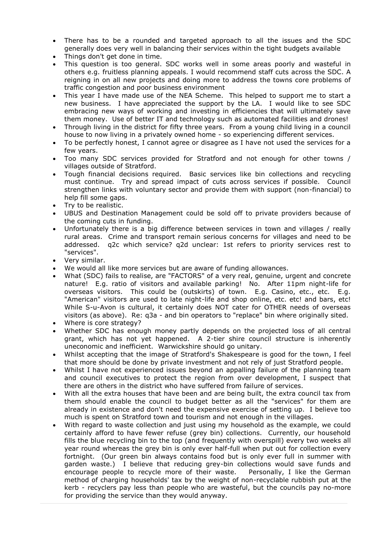- There has to be a rounded and targeted approach to all the issues and the SDC generally does very well in balancing their services within the tight budgets available
- Things don't get done in time.
- This question is too general. SDC works well in some areas poorly and wasteful in others e.g. fruitless planning appeals. I would recommend staff cuts across the SDC. A reigning in on all new projects and doing more to address the towns core problems of traffic congestion and poor business environment
- This year I have made use of the NEA Scheme. This helped to support me to start a new business. I have appreciated the support by the LA. I would like to see SDC embracing new ways of working and investing in efficiencies that will ultimately save them money. Use of better IT and technology such as automated facilities and drones!
- Through living in the district for fifty three years. From a young child living in a council house to now living in a privately owned home - so experiencing different services.
- To be perfectly honest, I cannot agree or disagree as I have not used the services for a few years.
- Too many SDC services provided for Stratford and not enough for other towns / villages outside of Stratford.
- Tough financial decisions required. Basic services like bin collections and recycling must continue. Try and spread impact of cuts across services if possible. Council strengthen links with voluntary sector and provide them with support (non-financial) to help fill some gaps.
- Try to be realistic.
- UBUS and Destination Management could be sold off to private providers because of the coming cuts in funding.
- Unfortunately there is a big difference between services in town and villages / really rural areas. Crime and transport remain serious concerns for villages and need to be addressed. q2c which service? q2d unclear: 1st refers to priority services rest to "services".
- Very similar.
- We would all like more services but are aware of funding allowances.
- What (SDC) fails to realise, are "FACTORS" of a very real, genuine, urgent and concrete nature! E.g. ratio of visitors and available parking! No. After 11pm night-life for overseas visitors. This could be (outskirts) of town. E.g. Casino, etc., etc. E.g. "American" visitors are used to late night-life and shop online, etc. etc! and bars, etc! While S-u-Avon is cultural, it certainly does NOT cater for OTHER needs of overseas visitors (as above). Re: q3a - and bin operators to "replace" bin where originally sited.
- Where is core strategy?
- Whether SDC has enough money partly depends on the projected loss of all central grant, which has not yet happened. A 2-tier shire council structure is inherently uneconomic and inefficient. Warwickshire should go unitary.
- Whilst accepting that the image of Stratford's Shakespeare is good for the town, I feel that more should be done by private investment and not rely of just Stratford people.
- Whilst I have not experienced issues beyond an appalling failure of the planning team and council executives to protect the region from over development, I suspect that there are others in the district who have suffered from failure of services.
- With all the extra houses that have been and are being built, the extra council tax from them should enable the council to budget better as all the "services" for them are already in existence and don't need the expensive exercise of setting up. I believe too much is spent on Stratford town and tourism and not enough in the villages.
- With regard to waste collection and just using my household as the example, we could certainly afford to have fewer refuse (grey bin) collections. Currently, our household fills the blue recycling bin to the top (and frequently with overspill) every two weeks all year round whereas the grey bin is only ever half-full when put out for collection every fortnight. (Our green bin always contains food but is only ever full in summer with garden waste.) I believe that reducing grey-bin collections would save funds and encourage people to recycle more of their waste. Personally, I like the German method of charging households' tax by the weight of non-recyclable rubbish put at the kerb - recyclers pay less than people who are wasteful, but the councils pay no-more for providing the service than they would anyway.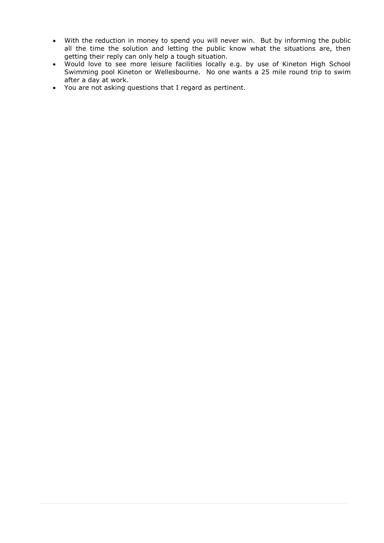- With the reduction in money to spend you will never win. But by informing the public all the time the solution and letting the public know what the situations are, then getting their reply can only help a tough situation.
- Would love to see more leisure facilities locally e.g. by use of Kineton High School Swimming pool Kineton or Wellesbourne. No one wants a 25 mile round trip to swim after a day at work.
- You are not asking questions that I regard as pertinent.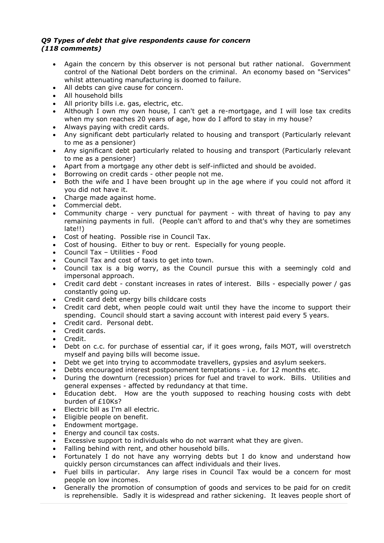#### *Q9 Types of debt that give respondents cause for concern (118 comments)*

- Again the concern by this observer is not personal but rather national. Government control of the National Debt borders on the criminal. An economy based on "Services" whilst attenuating manufacturing is doomed to failure.
- All debts can give cause for concern.
- All household bills
- All priority bills i.e. gas, electric, etc.
- Although I own my own house, I can't get a re-mortgage, and I will lose tax credits when my son reaches 20 years of age, how do I afford to stay in my house?
- Always paying with credit cards.
- Any significant debt particularly related to housing and transport (Particularly relevant to me as a pensioner)
- Any significant debt particularly related to housing and transport (Particularly relevant to me as a pensioner)
- Apart from a mortgage any other debt is self-inflicted and should be avoided.
- Borrowing on credit cards other people not me.
- Both the wife and I have been brought up in the age where if you could not afford it you did not have it.
- Charge made against home.
- Commercial debt.
- Community charge very punctual for payment with threat of having to pay any remaining payments in full. (People can't afford to and that's why they are sometimes late!!)
- Cost of heating. Possible rise in Council Tax.
- Cost of housing. Either to buy or rent. Especially for young people.
- Council Tax Utilities Food
- Council Tax and cost of taxis to get into town.
- Council tax is a big worry, as the Council pursue this with a seemingly cold and impersonal approach.
- Credit card debt constant increases in rates of interest. Bills especially power / gas constantly going up.
- Credit card debt energy bills childcare costs
- Credit card debt, when people could wait until they have the income to support their spending. Council should start a saving account with interest paid every 5 years.
- Credit card. Personal debt.
- Credit cards.
- Credit.
- Debt on c.c. for purchase of essential car, if it goes wrong, fails MOT, will overstretch myself and paying bills will become issue.
- Debt we get into trying to accommodate travellers, gypsies and asylum seekers.
- Debts encouraged interest postponement temptations i.e. for 12 months etc.
- During the downturn (recession) prices for fuel and travel to work. Bills. Utilities and general expenses - affected by redundancy at that time.
- Education debt. How are the youth supposed to reaching housing costs with debt burden of £10Ks?
- Electric bill as I'm all electric.
- Eligible people on benefit.
- Endowment mortgage.
- Energy and council tax costs.
- Excessive support to individuals who do not warrant what they are given.
- Falling behind with rent, and other household bills.
- Fortunately I do not have any worrying debts but I do know and understand how quickly person circumstances can affect individuals and their lives.
- Fuel bills in particular. Any large rises in Council Tax would be a concern for most people on low incomes.
- Generally the promotion of consumption of goods and services to be paid for on credit is reprehensible. Sadly it is widespread and rather sickening. It leaves people short of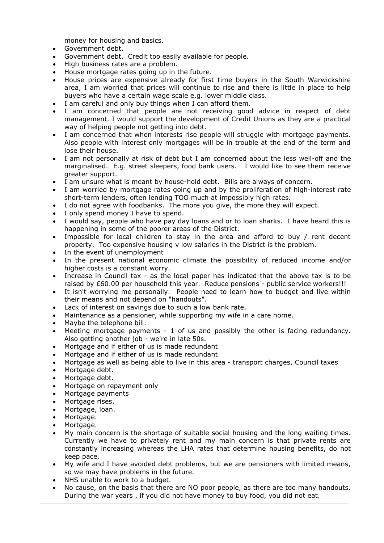money for housing and basics.

- Government debt.
- Government debt. Credit too easily available for people.
- High business rates are a problem.
- House mortgage rates going up in the future.
- House prices are expensive already for first time buyers in the South Warwickshire area, I am worried that prices will continue to rise and there is little in place to help buyers who have a certain wage scale e.g. lower middle class.
- I am careful and only buy things when I can afford them.
- I am concerned that people are not receiving good advice in respect of debt management. I would support the development of Credit Unions as they are a practical way of helping people not getting into debt.
- I am concerned that when interests rise people will struggle with mortgage payments. Also people with interest only mortgages will be in trouble at the end of the term and lose their house.
- I am not personally at risk of debt but I am concerned about the less well-off and the marginalised. E.g. street sleepers, food bank users. I would like to see them receive greater support.
- I am unsure what is meant by house-hold debt. Bills are always of concern.
- I am worried by mortgage rates going up and by the proliferation of high-interest rate short-term lenders, often lending TOO much at impossibly high rates.
- I do not agree with foodbanks. The more you give, the more they will expect.
- I only spend money I have to spend.
- I would say, people who have pay day loans and or to loan sharks. I have heard this is happening in some of the poorer areas of the District.
- Impossible for local children to stay in the area and afford to buy / rent decent property. Too expensive housing v low salaries in the District is the problem.
- In the event of unemployment
- In the present national economic climate the possibility of reduced income and/or higher costs is a constant worry.
- Increase in Council tax as the local paper has indicated that the above tax is to be raised by £60.00 per household this year. Reduce pensions - public service workers!!!
- It isn't worrying me personally. People need to learn how to budget and live within their means and not depend on "handouts".
- Lack of interest on savings due to such a low bank rate.
- Maintenance as a pensioner, while supporting my wife in a care home.
- Maybe the telephone bill.
- Meeting mortgage payments 1 of us and possibly the other is facing redundancy. Also getting another job - we're in late 50s.
- Mortgage and if either of us is made redundant
- Mortgage and if either of us is made redundant
- Mortgage as well as being able to live in this area transport charges, Council taxes
- Mortgage debt.
- Mortgage debt.
- Mortgage on repayment only
- Mortgage payments
- Mortgage rises.
- Mortgage, loan.
- Mortgage.
- Mortgage.
- My main concern is the shortage of suitable social housing and the long waiting times. Currently we have to privately rent and my main concern is that private rents are constantly increasing whereas the LHA rates that determine housing benefits, do not keep pace.
- My wife and I have avoided debt problems, but we are pensioners with limited means, so we may have problems in the future.
- NHS unable to work to a budget.
- No cause, on the basis that there are NO poor people, as there are too many handouts. During the war years , if you did not have money to buy food, you did not eat.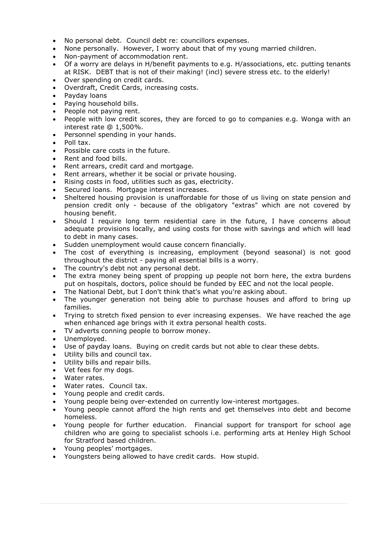- No personal debt. Council debt re: councillors expenses.
- None personally. However, I worry about that of my young married children.
- Non-payment of accommodation rent.
- Of a worry are delays in H/benefit payments to e.g. H/associations, etc. putting tenants at RISK. DEBT that is not of their making! (incl) severe stress etc. to the elderly!
- Over spending on credit cards.
- Overdraft, Credit Cards, increasing costs.
- Payday loans
- Paying household bills.
- People not paying rent.
- People with low credit scores, they are forced to go to companies e.g. Wonga with an interest rate @ 1,500%.
- Personnel spending in your hands.
- Poll tax.
- Possible care costs in the future.
- Rent and food bills.
- Rent arrears, credit card and mortgage.
- Rent arrears, whether it be social or private housing.
- Rising costs in food, utilities such as gas, electricity.
- Secured loans. Mortgage interest increases.
- Sheltered housing provision is unaffordable for those of us living on state pension and pension credit only - because of the obligatory "extras" which are not covered by housing benefit.
- Should I require long term residential care in the future, I have concerns about adequate provisions locally, and using costs for those with savings and which will lead to debt in many cases.
- Sudden unemployment would cause concern financially.
- The cost of everything is increasing, employment (beyond seasonal) is not good throughout the district - paying all essential bills is a worry.
- The country's debt not any personal debt.
- The extra money being spent of propping up people not born here, the extra burdens put on hospitals, doctors, police should be funded by EEC and not the local people.
- The National Debt, but I don't think that's what you're asking about.
- The younger generation not being able to purchase houses and afford to bring up families.
- Trying to stretch fixed pension to ever increasing expenses. We have reached the age when enhanced age brings with it extra personal health costs.
- TV adverts conning people to borrow money.
- Unemployed.
- Use of payday loans. Buying on credit cards but not able to clear these debts.
- Utility bills and council tax.
- Utility bills and repair bills.
- Vet fees for my dogs.
- Water rates.
- Water rates. Council tax.
- Young people and credit cards.
- Young people being over-extended on currently low-interest mortgages.
- Young people cannot afford the high rents and get themselves into debt and become homeless.
- Young people for further education. Financial support for transport for school age children who are going to specialist schools i.e. performing arts at Henley High School for Stratford based children.
- Young peoples' mortgages.
- Youngsters being allowed to have credit cards. How stupid.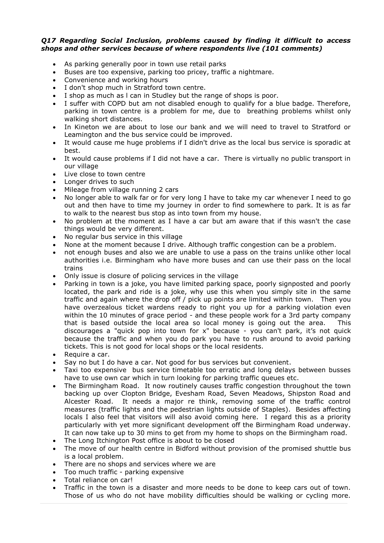#### *Q17 Regarding Social Inclusion, problems caused by finding it difficult to access shops and other services because of where respondents live (101 comments)*

- As parking generally poor in town use retail parks
- Buses are too expensive, parking too pricey, traffic a nightmare.
- Convenience and working hours
- I don't shop much in Stratford town centre.
- I shop as much as l can in Studley but the range of shops is poor.
- I suffer with COPD but am not disabled enough to qualify for a blue badge. Therefore, parking in town centre is a problem for me, due to breathing problems whilst only walking short distances.
- In Kineton we are about to lose our bank and we will need to travel to Stratford or Leamington and the bus service could be improved.
- It would cause me huge problems if I didn't drive as the local bus service is sporadic at best.
- It would cause problems if I did not have a car. There is virtually no public transport in our village
- Live close to town centre
- Longer drives to such
- Mileage from village running 2 cars
- No longer able to walk far or for very long I have to take my car whenever I need to go out and then have to time my journey in order to find somewhere to park. It is as far to walk to the nearest bus stop as into town from my house.
- No problem at the moment as I have a car but am aware that if this wasn't the case things would be very different.
- No regular bus service in this village
- None at the moment because I drive. Although traffic congestion can be a problem.
- not enough buses and also we are unable to use a pass on the trains unlike other local authorities i.e. Birmingham who have more buses and can use their pass on the local trains
- Only issue is closure of policing services in the village
- Parking in town is a joke, you have limited parking space, poorly signposted and poorly located, the park and ride is a joke, why use this when you simply site in the same traffic and again where the drop off / pick up points are limited within town. Then you have overzealous ticket wardens ready to right you up for a parking violation even within the 10 minutes of grace period - and these people work for a 3rd party company that is based outside the local area so local money is going out the area. This discourages a "quick pop into town for x" because - you can't park, it's not quick because the traffic and when you do park you have to rush around to avoid parking tickets. This is not good for local shops or the local residents.
- Require a car.
- Say no but I do have a car. Not good for bus services but convenient.
- Taxi too expensive bus service timetable too erratic and long delays between busses have to use own car which in turn looking for parking traffic queues etc.
- The Birmingham Road. It now routinely causes traffic congestion throughout the town backing up over Clopton Bridge, Evesham Road, Seven Meadows, Shipston Road and Alcester Road. It needs a major re think, removing some of the traffic control measures (traffic lights and the pedestrian lights outside of Staples). Besides affecting locals I also feel that visitors will also avoid coming here. I regard this as a priority particularly with yet more significant development off the Birmingham Road underway. It can now take up to 30 mins to get from my home to shops on the Birmingham road.
- The Long Itchington Post office is about to be closed
- The move of our health centre in Bidford without provision of the promised shuttle bus is a local problem.
- There are no shops and services where we are
- Too much traffic parking expensive
- Total reliance on car!
- Traffic in the town is a disaster and more needs to be done to keep cars out of town. Those of us who do not have mobility difficulties should be walking or cycling more.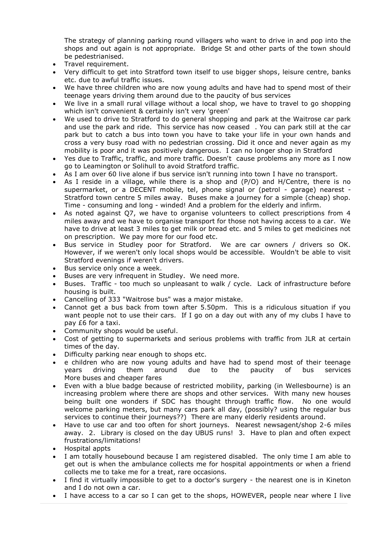The strategy of planning parking round villagers who want to drive in and pop into the shops and out again is not appropriate. Bridge St and other parts of the town should be pedestrianised.

- Travel requirement.
- Very difficult to get into Stratford town itself to use bigger shops, leisure centre, banks etc. due to awful traffic issues.
- We have three children who are now young adults and have had to spend most of their teenage years driving them around due to the paucity of bus services
- We live in a small rural village without a local shop, we have to travel to go shopping which isn't convenient & certainly isn't very 'green'
- We used to drive to Stratford to do general shopping and park at the Waitrose car park and use the park and ride. This service has now ceased . You can park still at the car park but to catch a bus into town you have to take your life in your own hands and cross a very busy road with no pedestrian crossing. Did it once and never again as my mobility is poor and it was positively dangerous. I can no longer shop in Stratford
- Yes due to Traffic, traffic, and more traffic. Doesn't cause problems any more as I now go to Leamington or Solihull to avoid Stratford traffic.
- As I am over 60 live alone if bus service isn't running into town I have no transport.
- As I reside in a village, while there is a shop and (P/O) and H/Centre, there is no supermarket, or a DECENT mobile, tel, phone signal or (petrol - garage) nearest -Stratford town centre 5 miles away. Buses make a journey for a simple (cheap) shop. Time - consuming and long - winded! And a problem for the elderly and infirm.
- As noted against Q7, we have to organise volunteers to collect prescriptions from 4 miles away and we have to organise transport for those not having access to a car. We have to drive at least 3 miles to get milk or bread etc. and 5 miles to get medicines not on prescription. We pay more for our food etc.
- Bus service in Studley poor for Stratford. We are car owners / drivers so OK. However, if we weren't only local shops would be accessible. Wouldn't be able to visit Stratford evenings if weren't drivers.
- Bus service only once a week.
- Buses are very infrequent in Studley. We need more.
- Buses. Traffic too much so unpleasant to walk / cycle. Lack of infrastructure before housing is built.
- Cancelling of 333 "Waitrose bus" was a major mistake.
- Cannot get a bus back from town after 5.50pm. This is a ridiculous situation if you want people not to use their cars. If I go on a day out with any of my clubs I have to pay £6 for a taxi.
- Community shops would be useful.
- Cost of getting to supermarkets and serious problems with traffic from JLR at certain times of the day.
- Difficulty parking near enough to shops etc.
- e children who are now young adults and have had to spend most of their teenage years driving them around due to the paucity of bus services More buses and cheaper fares
- Even with a blue badge because of restricted mobility, parking (in Wellesbourne) is an increasing problem where there are shops and other services. With many new houses being built one wonders if SDC has thought through traffic flow. No one would welcome parking meters, but many cars park all day, (possibly? using the regular bus services to continue their journeys??) There are many elderly residents around.
- Have to use car and too often for short journeys. Nearest newsagent/shop 2-6 miles away. 2. Library is closed on the day UBUS runs! 3. Have to plan and often expect frustrations/limitations!
- Hospital appts
- I am totally housebound because I am registered disabled. The only time I am able to get out is when the ambulance collects me for hospital appointments or when a friend collects me to take me for a treat, rare occasions.
- I find it virtually impossible to get to a doctor's surgery the nearest one is in Kineton and I do not own a car.
- I have access to a car so I can get to the shops, HOWEVER, people near where I live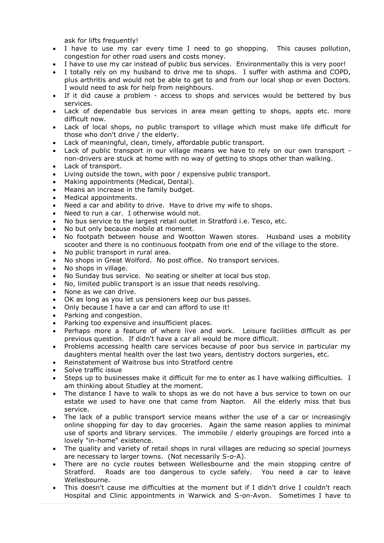ask for lifts frequently!

- I have to use my car every time I need to go shopping. This causes pollution, congestion for other road users and costs money.
- I have to use my car instead of public bus services. Environmentally this is very poor!
- I totally rely on my husband to drive me to shops. I suffer with asthma and COPD, plus arthritis and would not be able to get to and from our local shop or even Doctors. I would need to ask for help from neighbours.
- If it did cause a problem access to shops and services would be bettered by bus services.
- Lack of dependable bus services in area mean getting to shops, appts etc. more difficult now.
- Lack of local shops, no public transport to village which must make life difficult for those who don't drive / the elderly.
- Lack of meaningful, clean, timely, affordable public transport.
- Lack of public transport in our village means we have to rely on our own transport non-drivers are stuck at home with no way of getting to shops other than walking.
- Lack of transport.
- Living outside the town, with poor / expensive public transport.
- Making appointments (Medical, Dental).
- Means an increase in the family budget.
- Medical appointments.
- Need a car and ability to drive. Have to drive my wife to shops.
- Need to run a car. I otherwise would not.
- No bus service to the largest retail outlet in Stratford i.e. Tesco, etc.
- No but only because mobile at moment.
- No footpath between house and Wootton Wawen stores. Husband uses a mobility scooter and there is no continuous footpath from one end of the village to the store.
- No public transport in rural area.
- No shops in Great Wolford. No post office. No transport services.
- No shops in village.
- No Sunday bus service. No seating or shelter at local bus stop.
- No, limited public transport is an issue that needs resolving.
- None as we can drive.
- OK as long as you let us pensioners keep our bus passes.
- Only because I have a car and can afford to use it!
- Parking and congestion.
- Parking too expensive and insufficient places.
- Perhaps more a feature of where live and work. Leisure facilities difficult as per previous question. If didn't have a car all would be more difficult.
- Problems accessing health care services because of poor bus service in particular my daughters mental health over the last two years, dentistry doctors surgeries, etc.
- Reinstatement of Waitrose bus into Stratford centre
- Solve traffic issue
- Steps up to businesses make it difficult for me to enter as I have walking difficulties. I am thinking about Studley at the moment.
- The distance I have to walk to shops as we do not have a bus service to town on our estate we used to have one that came from Napton. All the elderly miss that bus service.
- The lack of a public transport service means wither the use of a car or increasingly online shopping for day to day groceries. Again the same reason applies to minimal use of sports and library services. The immobile / elderly groupings are forced into a lovely "in-home" existence.
- The quality and variety of retail shops in rural villages are reducing so special journeys are necessary to larger towns. (Not necessarily S-o-A).
- There are no cycle routes between Wellesbourne and the main stopping centre of Stratford. Roads are too dangerous to cycle safely. You need a car to leave Wellesbourne.
- This doesn't cause me difficulties at the moment but if I didn't drive I couldn't reach Hospital and Clinic appointments in Warwick and S-on-Avon. Sometimes I have to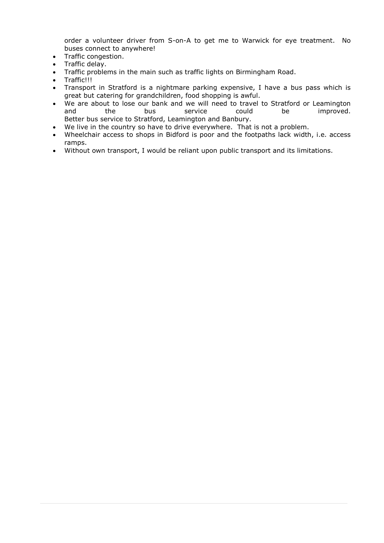order a volunteer driver from S-on-A to get me to Warwick for eye treatment. No buses connect to anywhere!

- Traffic congestion.
- Traffic delay.
- Traffic problems in the main such as traffic lights on Birmingham Road.
- Traffic!!!
- Transport in Stratford is a nightmare parking expensive, I have a bus pass which is great but catering for grandchildren, food shopping is awful.
- We are about to lose our bank and we will need to travel to Stratford or Leamington and the bus service could be improved. Better bus service to Stratford, Leamington and Banbury.
- We live in the country so have to drive everywhere. That is not a problem.
- Wheelchair access to shops in Bidford is poor and the footpaths lack width, i.e. access ramps.
- Without own transport, I would be reliant upon public transport and its limitations.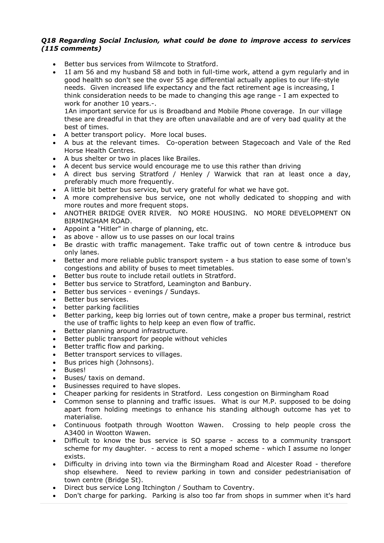#### *Q18 Regarding Social Inclusion, what could be done to improve access to services (115 comments)*

- Better bus services from Wilmcote to Stratford.
- 1I am 56 and my husband 58 and both in full-time work, attend a gym regularly and in good health so don't see the over 55 age differential actually applies to our life-style needs. Given increased life expectancy and the fact retirement age is increasing, I think consideration needs to be made to changing this age range - I am expected to work for another 10 years.-.

1An important service for us is Broadband and Mobile Phone coverage. In our village these are dreadful in that they are often unavailable and are of very bad quality at the best of times.

- A better transport policy. More local buses.
- A bus at the relevant times. Co-operation between Stagecoach and Vale of the Red Horse Health Centres.
- A bus shelter or two in places like Brailes.
- A decent bus service would encourage me to use this rather than driving
- A direct bus serving Stratford / Henley / Warwick that ran at least once a day, preferably much more frequently.
- A little bit better bus service, but very grateful for what we have got.
- A more comprehensive bus service, one not wholly dedicated to shopping and with more routes and more frequent stops.
- ANOTHER BRIDGE OVER RIVER. NO MORE HOUSING. NO MORE DEVELOPMENT ON BIRMINGHAM ROAD.
- Appoint a "Hitler" in charge of planning, etc.
- as above allow us to use passes on our local trains
- Be drastic with traffic management. Take traffic out of town centre & introduce bus only lanes.
- Better and more reliable public transport system a bus station to ease some of town's congestions and ability of buses to meet timetables.
- Better bus route to include retail outlets in Stratford.
- Better bus service to Stratford, Leamington and Banbury.
- Better bus services evenings / Sundays.
- Better bus services.
- better parking facilities
- Better parking, keep big lorries out of town centre, make a proper bus terminal, restrict the use of traffic lights to help keep an even flow of traffic.
- Better planning around infrastructure.
- Better public transport for people without vehicles
- Better traffic flow and parking.
- Better transport services to villages.
- Bus prices high (Johnsons).
- Buses!
- Buses/ taxis on demand.
- Businesses required to have slopes.
- Cheaper parking for residents in Stratford. Less congestion on Birmingham Road
- Common sense to planning and traffic issues. What is our M.P. supposed to be doing apart from holding meetings to enhance his standing although outcome has yet to materialise.
- Continuous footpath through Wootton Wawen. Crossing to help people cross the A3400 in Wootton Wawen.
- Difficult to know the bus service is SO sparse access to a community transport scheme for my daughter. - access to rent a moped scheme - which I assume no longer exists.
- Difficulty in driving into town via the Birmingham Road and Alcester Road therefore shop elsewhere. Need to review parking in town and consider pedestrianisation of town centre (Bridge St).
- Direct bus service Long Itchington / Southam to Coventry.
- Don't charge for parking. Parking is also too far from shops in summer when it's hard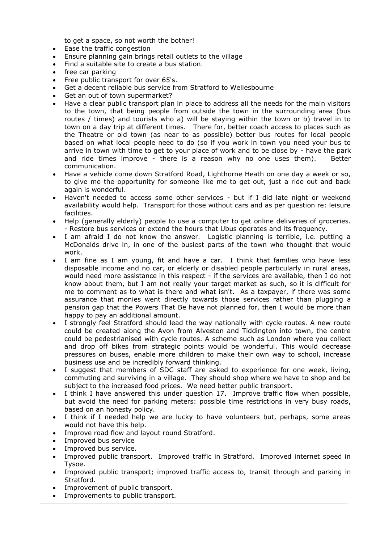to get a space, so not worth the bother!

- Ease the traffic congestion
- Ensure planning gain brings retail outlets to the village
- Find a suitable site to create a bus station.
- free car parking
- Free public transport for over 65's.
- Get a decent reliable bus service from Stratford to Wellesbourne
- Get an out of town supermarket?
- Have a clear public transport plan in place to address all the needs for the main visitors to the town, that being people from outside the town in the surrounding area (bus routes / times) and tourists who a) will be staying within the town or b) travel in to town on a day trip at different times. There for, better coach access to places such as the Theatre or old town (as near to as possible) better bus routes for local people based on what local people need to do (so if you work in town you need your bus to arrive in town with time to get to your place of work and to be close by - have the park and ride times improve - there is a reason why no one uses them). Better communication.
- Have a vehicle come down Stratford Road, Lighthorne Heath on one day a week or so, to give me the opportunity for someone like me to get out, just a ride out and back again is wonderful.
- Haven't needed to access some other services but if I did late night or weekend availability would help. Transport for those without cars and as per question re: leisure facilities.
- Help (generally elderly) people to use a computer to get online deliveries of groceries. - Restore bus services or extend the hours that Ubus operates and its frequency.
- I am afraid I do not know the answer. Logistic planning is terrible, i.e. putting a McDonalds drive in, in one of the busiest parts of the town who thought that would work.
- I am fine as I am young, fit and have a car. I think that families who have less disposable income and no car, or elderly or disabled people particularly in rural areas, would need more assistance in this respect - if the services are available, then I do not know about them, but I am not really your target market as such, so it is difficult for me to comment as to what is there and what isn't. As a taxpayer, if there was some assurance that monies went directly towards those services rather than plugging a pension gap that the Powers That Be have not planned for, then I would be more than happy to pay an additional amount.
- I strongly feel Stratford should lead the way nationally with cycle routes. A new route could be created along the Avon from Alveston and Tiddington into town, the centre could be pedestrianised with cycle routes. A scheme such as London where you collect and drop off bikes from strategic points would be wonderful. This would decrease pressures on buses, enable more children to make their own way to school, increase business use and be incredibly forward thinking.
- I suggest that members of SDC staff are asked to experience for one week, living, commuting and surviving in a village. They should shop where we have to shop and be subject to the increased food prices. We need better public transport.
- I think I have answered this under question 17. Improve traffic flow when possible, but avoid the need for parking meters: possible time restrictions in very busy roads, based on an honesty policy.
- I think if I needed help we are lucky to have volunteers but, perhaps, some areas would not have this help.
- Improve road flow and layout round Stratford.
- Improved bus service
- Improved bus service.
- Improved public transport. Improved traffic in Stratford. Improved internet speed in Tysoe.
- Improved public transport; improved traffic access to, transit through and parking in Stratford.
- Improvement of public transport.
- Improvements to public transport.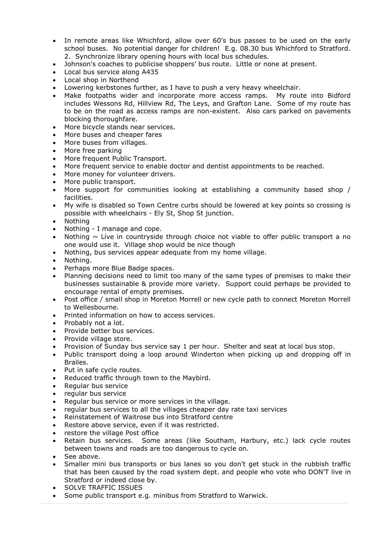- In remote areas like Whichford, allow over 60's bus passes to be used on the early school buses. No potential danger for children! E.g. 08.30 bus Whichford to Stratford. 2. Synchronize library opening hours with local bus schedules.
- Johnson's coaches to publicise shoppers' bus route. Little or none at present.
- Local bus service along A435
- Local shop in Northend
- Lowering kerbstones further, as I have to push a very heavy wheelchair.
- Make footpaths wider and incorporate more access ramps. My route into Bidford includes Wessons Rd, Hillview Rd, The Leys, and Grafton Lane. Some of my route has to be on the road as access ramps are non-existent. Also cars parked on pavements blocking thoroughfare.
- More bicycle stands near services.
- More buses and cheaper fares
- More buses from villages.
- More free parking
- More frequent Public Transport.
- More frequent service to enable doctor and dentist appointments to be reached.
- More money for volunteer drivers.
- More public transport.
- More support for communities looking at establishing a community based shop / facilities.
- My wife is disabled so Town Centre curbs should be lowered at key points so crossing is possible with wheelchairs - Ely St, Shop St junction.
- Nothing
- Nothing I manage and cope.
- Nothing  $\sim$  Live in countryside through choice not viable to offer public transport a no one would use it. Village shop would be nice though
- Nothing, bus services appear adequate from my home village.
- Nothing.
- Perhaps more Blue Badge spaces.
- Planning decisions need to limit too many of the same types of premises to make their businesses sustainable & provide more variety. Support could perhaps be provided to encourage rental of empty premises.
- Post office / small shop in Moreton Morrell or new cycle path to connect Moreton Morrell to Wellesbourne.
- Printed information on how to access services.
- Probably not a lot.
- Provide better bus services.
- Provide village store.
- Provision of Sunday bus service say 1 per hour. Shelter and seat at local bus stop.
- Public transport doing a loop around Winderton when picking up and dropping off in Brailes.
- Put in safe cycle routes.
- Reduced traffic through town to the Maybird.
- Regular bus service
- regular bus service
- Regular bus service or more services in the village.
- regular bus services to all the villages cheaper day rate taxi services
- Reinstatement of Waitrose bus into Stratford centre
- Restore above service, even if it was restricted.
- restore the village Post office
- Retain bus services. Some areas (like Southam, Harbury, etc.) lack cycle routes between towns and roads are too dangerous to cycle on.
- See above.
- Smaller mini bus transports or bus lanes so you don't get stuck in the rubbish traffic that has been caused by the road system dept. and people who vote who DON'T live in Stratford or indeed close by.
- **SOLVE TRAFFIC ISSUES**
- Some public transport e.g. minibus from Stratford to Warwick.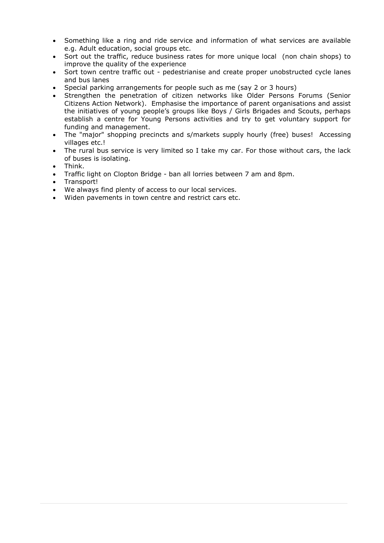- Something like a ring and ride service and information of what services are available e.g. Adult education, social groups etc.
- Sort out the traffic, reduce business rates for more unique local (non chain shops) to improve the quality of the experience
- Sort town centre traffic out pedestrianise and create proper unobstructed cycle lanes and bus lanes
- Special parking arrangements for people such as me (say 2 or 3 hours)
- Strengthen the penetration of citizen networks like Older Persons Forums (Senior Citizens Action Network). Emphasise the importance of parent organisations and assist the initiatives of young people's groups like Boys / Girls Brigades and Scouts, perhaps establish a centre for Young Persons activities and try to get voluntary support for funding and management.
- The "major" shopping precincts and s/markets supply hourly (free) buses! Accessing villages etc.!
- The rural bus service is very limited so I take my car. For those without cars, the lack of buses is isolating.
- Think.
- Traffic light on Clopton Bridge ban all lorries between 7 am and 8pm.
- Transport!
- We always find plenty of access to our local services.
- Widen pavements in town centre and restrict cars etc.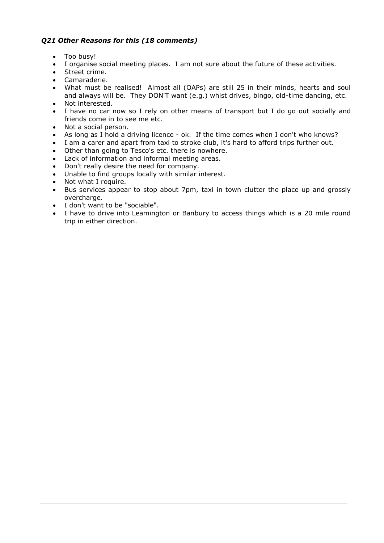#### *Q21 Other Reasons for this (18 comments)*

- Too busy!
- I organise social meeting places. I am not sure about the future of these activities.
- Street crime.
- Camaraderie.
- What must be realised! Almost all (OAPs) are still 25 in their minds, hearts and soul and always will be. They DON'T want (e.g.) whist drives, bingo, old-time dancing, etc.
- Not interested.
- I have no car now so I rely on other means of transport but I do go out socially and friends come in to see me etc.
- Not a social person.
- As long as I hold a driving licence ok. If the time comes when I don't who knows?
- I am a carer and apart from taxi to stroke club, it's hard to afford trips further out.
- Other than going to Tesco's etc. there is nowhere.
- Lack of information and informal meeting areas.
- Don't really desire the need for company.
- Unable to find groups locally with similar interest.
- Not what I require.
- Bus services appear to stop about 7pm, taxi in town clutter the place up and grossly overcharge.
- I don't want to be "sociable".
- I have to drive into Leamington or Banbury to access things which is a 20 mile round trip in either direction.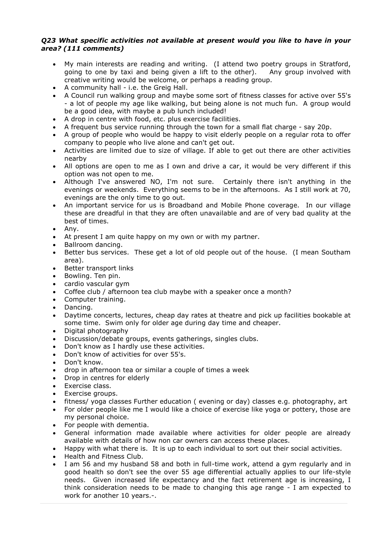#### *Q23 What specific activities not available at present would you like to have in your area? (111 comments)*

- My main interests are reading and writing. (I attend two poetry groups in Stratford, going to one by taxi and being given a lift to the other). Any group involved with creative writing would be welcome, or perhaps a reading group.
- A community hall i.e. the Greig Hall.
- A Council run walking group and maybe some sort of fitness classes for active over 55's - a lot of people my age like walking, but being alone is not much fun. A group would be a good idea, with maybe a pub lunch included!
- A drop in centre with food, etc. plus exercise facilities.
- A frequent bus service running through the town for a small flat charge say 20p.
- A group of people who would be happy to visit elderly people on a regular rota to offer company to people who live alone and can't get out.
- Activities are limited due to size of village. If able to get out there are other activities nearby
- All options are open to me as I own and drive a car, it would be very different if this option was not open to me.
- Although I've answered NO, I'm not sure. Certainly there isn't anything in the evenings or weekends. Everything seems to be in the afternoons. As I still work at 70, evenings are the only time to go out.
- An important service for us is Broadband and Mobile Phone coverage. In our village these are dreadful in that they are often unavailable and are of very bad quality at the best of times.
- Any.
- At present I am quite happy on my own or with my partner.
- Ballroom dancing.
- Better bus services. These get a lot of old people out of the house. (I mean Southam area).
- Better transport links
- Bowling. Ten pin.
- cardio vascular gym
- Coffee club / afternoon tea club maybe with a speaker once a month?
- Computer training.
- Dancing.
- Daytime concerts, lectures, cheap day rates at theatre and pick up facilities bookable at some time. Swim only for older age during day time and cheaper.
- Digital photography
- Discussion/debate groups, events gatherings, singles clubs.
- Don't know as I hardly use these activities.
- Don't know of activities for over 55's.
- Don't know.
- drop in afternoon tea or similar a couple of times a week
- Drop in centres for elderly
- Exercise class.
- Exercise groups.
- fitness/ yoga classes Further education ( evening or day) classes e.g. photography, art
- For older people like me I would like a choice of exercise like yoga or pottery, those are my personal choice.
- For people with dementia.
- General information made available where activities for older people are already available with details of how non car owners can access these places.
- Happy with what there is. It is up to each individual to sort out their social activities.
- Health and Fitness Club.
- I am 56 and my husband 58 and both in full-time work, attend a gym regularly and in good health so don't see the over 55 age differential actually applies to our life-style needs. Given increased life expectancy and the fact retirement age is increasing, I think consideration needs to be made to changing this age range - I am expected to work for another 10 years.-.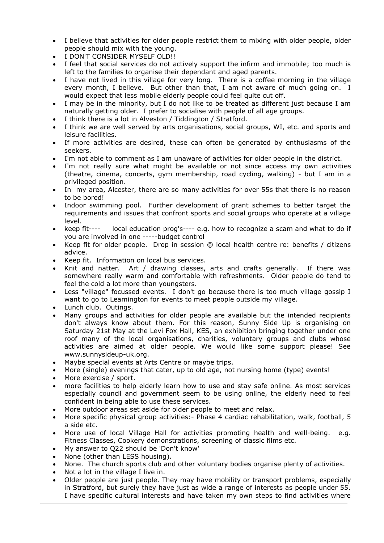- I believe that activities for older people restrict them to mixing with older people, older people should mix with the young.
- I DON'T CONSIDER MYSELF OLD!!
- I feel that social services do not actively support the infirm and immobile; too much is left to the families to organise their dependant and aged parents.
- I have not lived in this village for very long. There is a coffee morning in the village every month, I believe. But other than that, I am not aware of much going on. I would expect that less mobile elderly people could feel quite cut off.
- I may be in the minority, but I do not like to be treated as different just because I am naturally getting older. I prefer to socialise with people of all age groups.
- I think there is a lot in Alveston / Tiddington / Stratford.
- I think we are well served by arts organisations, social groups, WI, etc. and sports and leisure facilities.
- If more activities are desired, these can often be generated by enthusiasms of the seekers.
- I'm not able to comment as I am unaware of activities for older people in the district.
- I'm not really sure what might be available or not since access my own activities (theatre, cinema, concerts, gym membership, road cycling, walking) - but I am in a privileged position.
- In my area, Alcester, there are so many activities for over 55s that there is no reason to be bored!
- Indoor swimming pool. Further development of grant schemes to better target the requirements and issues that confront sports and social groups who operate at a village level.
- keep fit---- local education prog's---- e.g. how to recognize a scam and what to do if you are involved in one -----budget control
- Keep fit for older people. Drop in session @ local health centre re: benefits / citizens advice.
- Keep fit. Information on local bus services.
- Knit and natter. Art / drawing classes, arts and crafts generally. If there was somewhere really warm and comfortable with refreshments. Older people do tend to feel the cold a lot more than youngsters.
- Less "village" focussed events. I don't go because there is too much village gossip I want to go to Leamington for events to meet people outside my village.
- Lunch club. Outings.
- Many groups and activities for older people are available but the intended recipients don't always know about them. For this reason, Sunny Side Up is organising on Saturday 21st May at the Levi Fox Hall, KES, an exhibition bringing together under one roof many of the local organisations, charities, voluntary groups and clubs whose activities are aimed at older people. We would like some support please! See www.sunnysideup-uk.org.
- Maybe special events at Arts Centre or maybe trips.
- More (single) evenings that cater, up to old age, not nursing home (type) events!
- More exercise / sport.
- more facilities to help elderly learn how to use and stay safe online. As most services especially council and government seem to be using online, the elderly need to feel confident in being able to use these services.
- More outdoor areas set aside for older people to meet and relax.
- More specific physical group activities:- Phase 4 cardiac rehabilitation, walk, football, 5 a side etc.
- More use of local Village Hall for activities promoting health and well-being. e.g. Fitness Classes, Cookery demonstrations, screening of classic films etc.
- My answer to Q22 should be 'Don't know'
- None (other than LESS housing).
- None. The church sports club and other voluntary bodies organise plenty of activities.
- Not a lot in the village I live in.
- Older people are just people. They may have mobility or transport problems, especially in Stratford, but surely they have just as wide a range of interests as people under 55. I have specific cultural interests and have taken my own steps to find activities where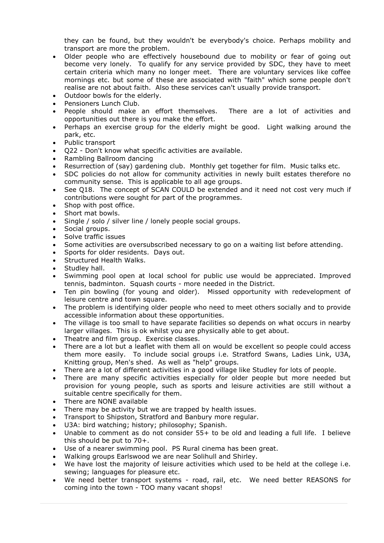they can be found, but they wouldn't be everybody's choice. Perhaps mobility and transport are more the problem.

- Older people who are effectively housebound due to mobility or fear of going out become very lonely. To qualify for any service provided by SDC, they have to meet certain criteria which many no longer meet. There are voluntary services like coffee mornings etc. but some of these are associated with "faith" which some people don't realise are not about faith. Also these services can't usually provide transport.
- Outdoor bowls for the elderly.
- Pensioners Lunch Club.
- People should make an effort themselves. There are a lot of activities and opportunities out there is you make the effort.
- Perhaps an exercise group for the elderly might be good. Light walking around the park, etc.
- Public transport
- Q22 Don't know what specific activities are available.
- Rambling Ballroom dancing
- Resurrection of (say) gardening club. Monthly get together for film. Music talks etc.
- SDC policies do not allow for community activities in newly built estates therefore no community sense. This is applicable to all age groups.
- See Q18. The concept of SCAN COULD be extended and it need not cost very much if contributions were sought for part of the programmes.
- Shop with post office.
- Short mat bowls.
- Single / solo / silver line / lonely people social groups.
- Social groups.
- Solve traffic issues
- Some activities are oversubscribed necessary to go on a waiting list before attending.
- Sports for older residents. Days out.
- Structured Health Walks.
- Studley hall.
- Swimming pool open at local school for public use would be appreciated. Improved tennis, badminton. Squash courts - more needed in the District.
- Ten pin bowling (for young and older). Missed opportunity with redevelopment of leisure centre and town square.
- The problem is identifying older people who need to meet others socially and to provide accessible information about these opportunities.
- The village is too small to have separate facilities so depends on what occurs in nearby larger villages. This is ok whilst you are physically able to get about.
- Theatre and film group. Exercise classes.
- There are a lot but a leaflet with them all on would be excellent so people could access them more easily. To include social groups i.e. Stratford Swans, Ladies Link, U3A, Knitting group, Men's shed. As well as "help" groups.
- There are a lot of different activities in a good village like Studley for lots of people.
- There are many specific activities especially for older people but more needed but provision for young people, such as sports and leisure activities are still without a suitable centre specifically for them.
- There are NONE available
- There may be activity but we are trapped by health issues.
- Transport to Shipston, Stratford and Banbury more regular.
- U3A: bird watching; history; philosophy; Spanish.
- Unable to comment as do not consider  $55+$  to be old and leading a full life. I believe this should be put to 70+.
- Use of a nearer swimming pool. PS Rural cinema has been great.
- Walking groups Earlswood we are near Solihull and Shirley.
- We have lost the majority of leisure activities which used to be held at the college i.e. sewing; languages for pleasure etc.
- We need better transport systems road, rail, etc. We need better REASONS for coming into the town - TOO many vacant shops!